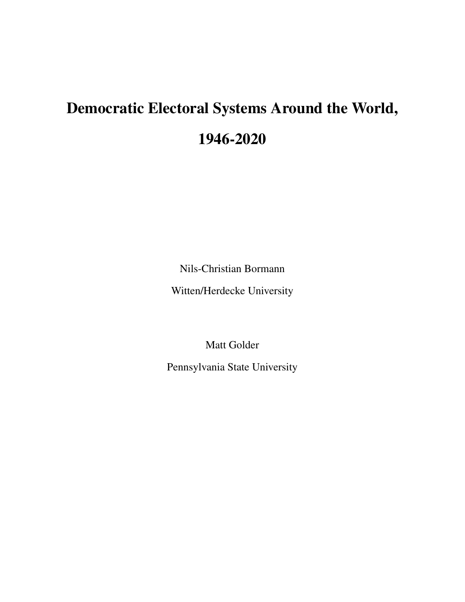# <span id="page-0-0"></span>Democratic Electoral Systems Around the World, 1946-2020

Nils-Christian Bormann

Witten/Herdecke University

Matt Golder

Pennsylvania State University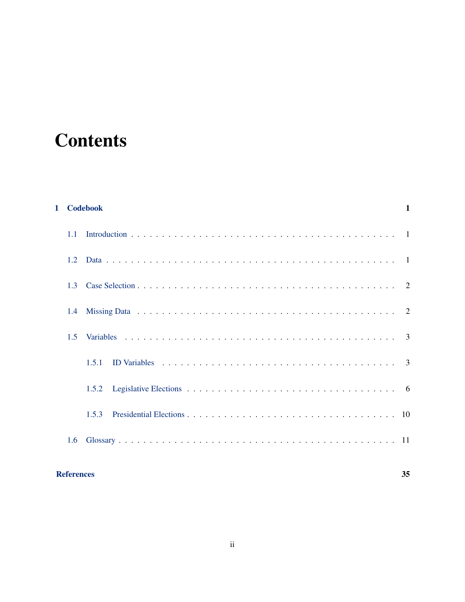# **Contents**

|                | 1 Codebook | $\mathbf{1}$ |
|----------------|------------|--------------|
| 1.1            |            |              |
| 12             |            |              |
| 1 <sup>3</sup> |            |              |
| 1.4            |            |              |
| 1.5            |            |              |
|                | 1.5.1      |              |
|                | 1.5.2      |              |
|                | 1.5.3      |              |
| 1.6            |            |              |
|                |            |              |

# [References](#page-34-0) 35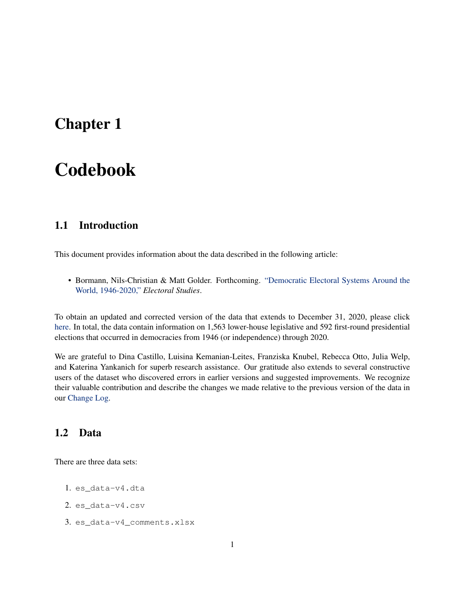# <span id="page-2-0"></span>Chapter 1

# Codebook

## <span id="page-2-1"></span>1.1 Introduction

This document provides information about the data described in the following article:

• Bormann, Nils-Christian & Matt Golder. Forthcoming. ["Democratic Electoral Systems Around the](http://mattgolder.com/files/research/es3.pdf) [World, 1946-2020,"](http://mattgolder.com/files/research/es3.pdf) *Electoral Studies*.

To obtain an updated and corrected version of the data that extends to December 31, 2020, please click [here.](http://mattgolder.com/files/research/es_data-v4_0.zip) In total, the data contain information on 1,563 lower-house legislative and 592 first-round presidential elections that occurred in democracies from 1946 (or independence) through 2020.

We are grateful to Dina Castillo, Luisina Kemanian-Leites, Franziska Knubel, Rebecca Otto, Julia Welp, and Katerina Yankanich for superb research assistance. Our gratitude also extends to several constructive users of the dataset who discovered errors in earlier versions and suggested improvements. We recognize their valuable contribution and describe the changes we made relative to the previous version of the data in our [Change Log.](http://mattgolder.com/files/research/es4_changelog.pdf)

## <span id="page-2-2"></span>1.2 Data

There are three data sets:

- 1. es\_data-v4.dta
- 2. es\_data-v4.csv
- 3. es\_data-v4\_comments.xlsx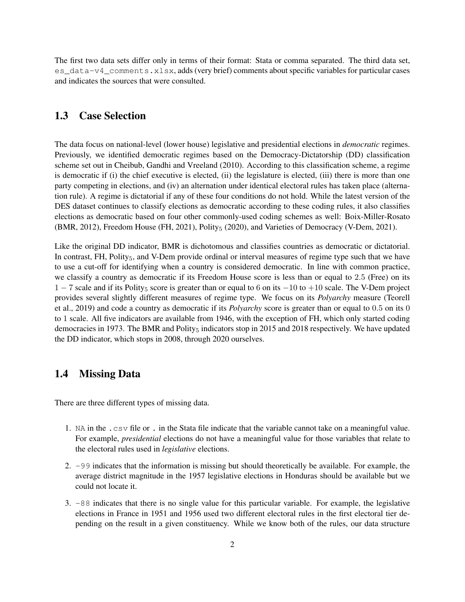The first two data sets differ only in terms of their format: Stata or comma separated. The third data set, es\_data-v4\_comments.xlsx, adds (very brief) comments about specific variables for particular cases and indicates the sources that were consulted.

#### <span id="page-3-0"></span>1.3 Case Selection

The data focus on national-level (lower house) legislative and presidential elections in *democratic* regimes. Previously, we identified democratic regimes based on the Democracy-Dictatorship (DD) classification scheme set out in [Cheibub, Gandhi and Vreeland](#page-36-0) [\(2010\)](#page-36-0). According to this classification scheme, a regime is democratic if (i) the chief executive is elected, (ii) the legislature is elected, (iii) there is more than one party competing in elections, and (iv) an alternation under identical electoral rules has taken place (alternation rule). A regime is dictatorial if any of these four conditions do not hold. While the latest version of the DES dataset continues to classify elections as democratic according to these coding rules, it also classifies elections as democratic based on four other commonly-used coding schemes as well: Boix-Miller-Rosato (BMR, [2012\)](#page-36-1), Freedom House (FH, [2021\)](#page-36-3), Polity<sub>5</sub> [\(2020\)](#page-36-2), and Varieties of Democracy (V-Dem, 2021).

Like the original DD indicator, BMR is dichotomous and classifies countries as democratic or dictatorial. In contrast, FH, Polity $_5$ , and V-Dem provide ordinal or interval measures of regime type such that we have to use a cut-off for identifying when a country is considered democratic. In line with common practice, we classify a country as democratic if its Freedom House score is less than or equal to 2.5 (Free) on its  $1 - 7$  scale and if its Polity<sub>5</sub> score is greater than or equal to 6 on its  $-10$  to  $+10$  scale. The V-Dem project provides several slightly different measures of regime type. We focus on its *Polyarchy* measure [\(Teorell](#page-37-1) [et al.,](#page-37-1) [2019\)](#page-37-1) and code a country as democratic if its *Polyarchy* score is greater than or equal to 0.5 on its 0 to 1 scale. All five indicators are available from 1946, with the exception of FH, which only started coding democracies in 1973. The BMR and Polity $_5$  indicators stop in 2015 and 2018 respectively. We have updated the DD indicator, which stops in 2008, through 2020 ourselves.

### <span id="page-3-1"></span>1.4 Missing Data

There are three different types of missing data.

- 1. NA in the .csv file or . in the Stata file indicate that the variable cannot take on a meaningful value. For example, *presidential* elections do not have a meaningful value for those variables that relate to the electoral rules used in *legislative* elections.
- 2. -99 indicates that the information is missing but should theoretically be available. For example, the average district magnitude in the 1957 legislative elections in Honduras should be available but we could not locate it.
- 3. -88 indicates that there is no single value for this particular variable. For example, the legislative elections in France in 1951 and 1956 used two different electoral rules in the first electoral tier depending on the result in a given constituency. While we know both of the rules, our data structure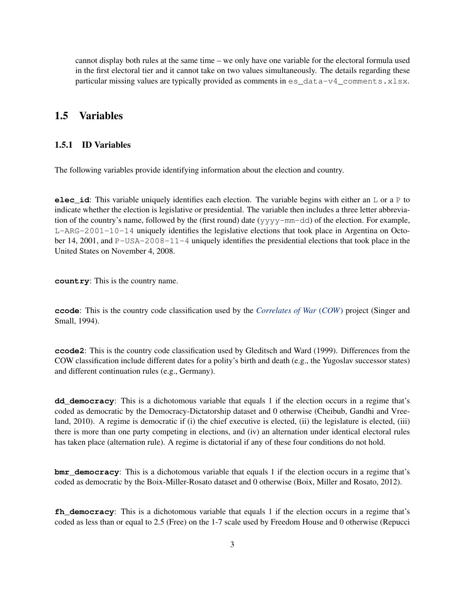cannot display both rules at the same time – we only have one variable for the electoral formula used in the first electoral tier and it cannot take on two values simultaneously. The details regarding these particular missing values are typically provided as comments in es\_data-v4\_comments.xlsx.

### <span id="page-4-0"></span>1.5 Variables

#### <span id="page-4-1"></span>1.5.1 ID Variables

The following variables provide identifying information about the election and country.

**elec\_id**: This variable uniquely identifies each election. The variable begins with either an L or a P to indicate whether the election is legislative or presidential. The variable then includes a three letter abbreviation of the country's name, followed by the (first round) date (yyyy-mm-dd) of the election. For example, L-ARG-2001-10-14 uniquely identifies the legislative elections that took place in Argentina on October 14, 2001, and  $P-USA-2008-11-4$  uniquely identifies the presidential elections that took place in the United States on November 4, 2008.

**country**: This is the country name.

**ccode**: This is the country code classification used by the *[Correlates of War](http://www.correlatesofwar.org/)* (*COW*) project [\(Singer and](#page-37-2) [Small,](#page-37-2) [1994\)](#page-37-2).

**ccode2**: This is the country code classification used by [Gleditsch and Ward](#page-36-4) [\(1999\)](#page-36-4). Differences from the COW classification include different dates for a polity's birth and death (e.g., the Yugoslav successor states) and different continuation rules (e.g., Germany).

**dd\_democracy**: This is a dichotomous variable that equals 1 if the election occurs in a regime that's coded as democratic by the Democracy-Dictatorship dataset and 0 otherwise [\(Cheibub, Gandhi and Vree](#page-36-0)[land,](#page-36-0) [2010\)](#page-36-0). A regime is democratic if (i) the chief executive is elected, (ii) the legislature is elected, (iii) there is more than one party competing in elections, and (iv) an alternation under identical electoral rules has taken place (alternation rule). A regime is dictatorial if any of these four conditions do not hold.

**bmr\_democracy**: This is a dichotomous variable that equals 1 if the election occurs in a regime that's coded as democratic by the Boix-Miller-Rosato dataset and 0 otherwise [\(Boix, Miller and Rosato,](#page-36-1) [2012\)](#page-36-1).

**fh\_democracy**: This is a dichotomous variable that equals 1 if the election occurs in a regime that's coded as less than or equal to 2.5 (Free) on the 1-7 scale used by Freedom House and 0 otherwise [\(Repucci](#page-37-0)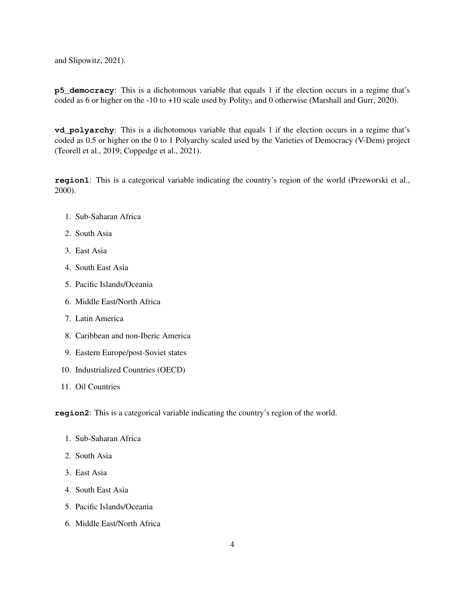[and Slipowitz,](#page-37-0) [2021\)](#page-37-0).

**p5\_democracy**: This is a dichotomous variable that equals 1 if the election occurs in a regime that's coded as 6 or higher on the -10 to +10 scale used by Polity<sub>5</sub> and 0 otherwise [\(Marshall and Gurr,](#page-36-2) [2020\)](#page-36-2).

**vd** polyarchy: This is a dichotomous variable that equals 1 if the election occurs in a regime that's coded as 0.5 or higher on the 0 to 1 Polyarchy scaled used by the Varieties of Democracy (V-Dem) project [\(Teorell et al.,](#page-37-1) [2019;](#page-37-1) [Coppedge et al.,](#page-36-3) [2021\)](#page-36-3).

**region1**: This is a categorical variable indicating the country's region of the world [\(Przeworski et al.,](#page-37-3) [2000\)](#page-37-3).

- 1. Sub-Saharan Africa
- 2. South Asia
- 3. East Asia
- 4. South East Asia
- 5. Pacific Islands/Oceania
- 6. Middle East/North Africa
- 7. Latin America
- 8. Caribbean and non-Iberic America
- 9. Eastern Europe/post-Soviet states
- 10. Industrialized Countries (OECD)
- 11. Oil Countries

**region2**: This is a categorical variable indicating the country's region of the world.

- 1. Sub-Saharan Africa
- 2. South Asia
- 3. East Asia
- 4. South East Asia
- 5. Pacific Islands/Oceania
- 6. Middle East/North Africa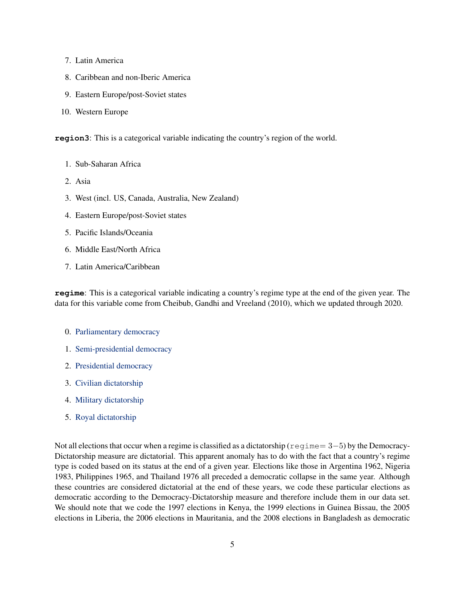- 7. Latin America
- 8. Caribbean and non-Iberic America
- 9. Eastern Europe/post-Soviet states
- 10. Western Europe

**region3**: This is a categorical variable indicating the country's region of the world.

- 1. Sub-Saharan Africa
- 2. Asia
- 3. West (incl. US, Canada, Australia, New Zealand)
- 4. Eastern Europe/post-Soviet states
- 5. Pacific Islands/Oceania
- 6. Middle East/North Africa
- <span id="page-6-0"></span>7. Latin America/Caribbean

**regime**: This is a categorical variable indicating a country's regime type at the end of the given year. The data for this variable come from [Cheibub, Gandhi and Vreeland](#page-36-0) [\(2010\)](#page-36-0), which we updated through 2020.

- 0. [Parliamentary democracy](#page-28-0)
- 1. [Semi-presidential democracy](#page-32-0)
- 2. [Presidential democracy](#page-29-0)
- 3. [Civilian dictatorship](#page-14-0)
- 4. [Military dictatorship](#page-26-0)
- <span id="page-6-1"></span>5. [Royal dictatorship](#page-31-0)

Not all elections that occur when a regime is classified as a dictatorship ( $regime = 3-5$ ) by the Democracy-Dictatorship measure are dictatorial. This apparent anomaly has to do with the fact that a country's regime type is coded based on its status at the end of a given year. Elections like those in Argentina 1962, Nigeria 1983, Philippines 1965, and Thailand 1976 all preceded a democratic collapse in the same year. Although these countries are considered dictatorial at the end of these years, we code these particular elections as democratic according to the Democracy-Dictatorship measure and therefore include them in our data set. We should note that we code the 1997 elections in Kenya, the 1999 elections in Guinea Bissau, the 2005 elections in Liberia, the 2006 elections in Mauritania, and the 2008 elections in Bangladesh as democratic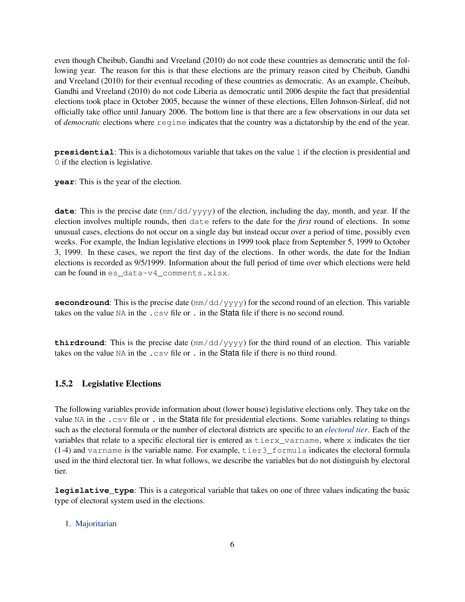even though [Cheibub, Gandhi and Vreeland](#page-36-0) [\(2010\)](#page-36-0) do not code these countries as democratic until the following year. The reason for this is that these elections are the primary reason cited by [Cheibub, Gandhi](#page-36-0) [and Vreeland](#page-36-0) [\(2010\)](#page-36-0) for their eventual recoding of these countries as democratic. As an example, [Cheibub,](#page-36-0) [Gandhi and Vreeland](#page-36-0) [\(2010\)](#page-36-0) do not code Liberia as democratic until 2006 despite the fact that presidential elections took place in October 2005, because the winner of these elections, Ellen Johnson-Sirleaf, did not officially take office until January 2006. The bottom line is that there are a few observations in our data set of *democratic* elections where regime indicates that the country was a dictatorship by the end of the year.

**presidential**: This is a dichotomous variable that takes on the value 1 if the election is presidential and 0 if the election is legislative.

**year**: This is the year of the election.

**date**: This is the precise date (mm/dd/yyyy) of the election, including the day, month, and year. If the election involves multiple rounds, then date refers to the date for the *first* round of elections. In some unusual cases, elections do not occur on a single day but instead occur over a period of time, possibly even weeks. For example, the Indian legislative elections in 1999 took place from September 5, 1999 to October 3, 1999. In these cases, we report the first day of the elections. In other words, the date for the Indian elections is recorded as 9/5/1999. Information about the full period of time over which elections were held can be found in es\_data-v4\_comments.xlsx.

**secondround**: This is the precise date ( $\text{mm}/\text{dd}/\text{y}y\text{y}y$ ) for the second round of an election. This variable takes on the value NA in the .csv file or . in the Stata file if there is no second round.

**thirdround**: This is the precise date  $(\text{mm}/\text{dd}/\text{y}\text{y}\text{y}\text{y})$  for the third round of an election. This variable takes on the value NA in the .csv file or . in the Stata file if there is no third round.

#### <span id="page-7-0"></span>1.5.2 Legislative Elections

The following variables provide information about (lower house) legislative elections only. They take on the value NA in the .csv file or . in the Stata file for presidential elections. Some variables relating to things such as the electoral formula or the number of electoral districts are specific to an *[electoral tier](#page-0-0)*. Each of the variables that relate to a specific electoral tier is entered as  $\text{tierx}\_\text{varname}$ , where x indicates the tier (1-4) and varname is the variable name. For example, tier3\_formula indicates the electoral formula used in the third electoral tier. In what follows, we describe the variables but do not distinguish by electoral tier.

**legislative\_type**: This is a categorical variable that takes on one of three values indicating the basic type of electoral system used in the elections.

#### 1. [Majoritarian](#page-25-0)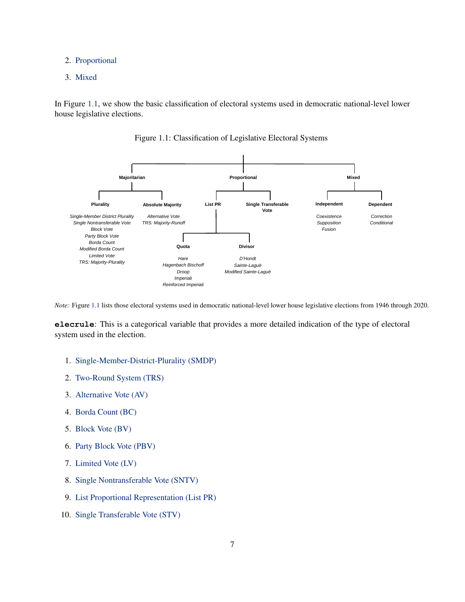#### 2. [Proportional](#page-29-1)

3. [Mixed](#page-26-1)

In Figure [1.1,](#page-8-0) we show the basic classification of electoral systems used in democratic national-level lower house legislative elections.



<span id="page-8-0"></span>Figure 1.1: Classification of Legislative Electoral Systems

*Note:* Figure [1.1](#page-8-0) lists those electoral systems used in democratic national-level lower house legislative elections from 1946 through 2020.

**elecrule**: This is a categorical variable that provides a more detailed indication of the type of electoral system used in the election.

- 1. [Single-Member-District-Plurality \(SMDP\)](#page-32-1)
- 2. [Two-Round System \(TRS\)](#page-34-1)
- 3. [Alternative Vote \(AV\)](#page-12-1)
- 4. [Borda Count \(BC\)](#page-14-1)
- 5. [Block Vote \(BV\)](#page-14-2)
- 6. [Party Block Vote \(PBV\)](#page-28-1)
- 7. [Limited Vote \(LV\)](#page-24-0)
- 8. [Single Nontransferable Vote \(SNTV\)](#page-32-2)
- 9. [List Proportional Representation \(List PR\)](#page-24-1)
- 10. [Single Transferable Vote \(STV\)](#page-33-0)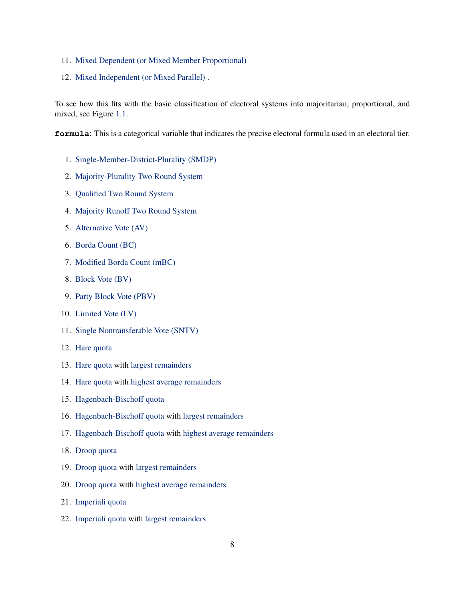- 11. [Mixed Dependent \(or Mixed Member Proportional\)](#page-15-0)
- 12. [Mixed Independent \(or Mixed Parallel\)](#page-23-0) .

To see how this fits with the basic classification of electoral systems into majoritarian, proportional, and mixed, see Figure [1.1.](#page-8-0)

**formula**: This is a categorical variable that indicates the precise electoral formula used in an electoral tier.

- 1. [Single-Member-District-Plurality \(SMDP\)](#page-32-1)
- 2. [Majority-Plurality Two Round System](#page-25-1)
- 3. [Qualified Two Round System](#page-29-2)
- 4. [Majority Runoff Two Round System](#page-25-2)
- 5. [Alternative Vote \(AV\)](#page-12-1)
- 6. [Borda Count \(BC\)](#page-14-1)
- 7. [Modified Borda Count \(mBC\)](#page-26-2)
- 8. [Block Vote \(BV\)](#page-14-2)
- 9. [Party Block Vote \(PBV\)](#page-28-1)
- 10. [Limited Vote \(LV\)](#page-24-0)
- 11. [Single Nontransferable Vote \(SNTV\)](#page-32-2)
- 12. [Hare quota](#page-21-0)
- 13. [Hare quota](#page-21-0) with [largest remainders](#page-22-0)
- 14. [Hare quota](#page-21-0) with [highest average remainders](#page-0-0)
- 15. [Hagenbach-Bischoff quota](#page-20-0)
- 16. [Hagenbach-Bischoff quota](#page-20-0) with [largest remainders](#page-22-0)
- 17. [Hagenbach-Bischoff quota](#page-20-0) with [highest average remainders](#page-0-0)
- 18. [Droop quota](#page-18-0)
- 19. [Droop quota](#page-18-0) with [largest remainders](#page-22-0)
- 20. [Droop quota](#page-18-0) with [highest average remainders](#page-0-0)
- 21. [Imperiali quota](#page-22-1)
- 22. [Imperiali quota](#page-22-1) with [largest remainders](#page-22-0)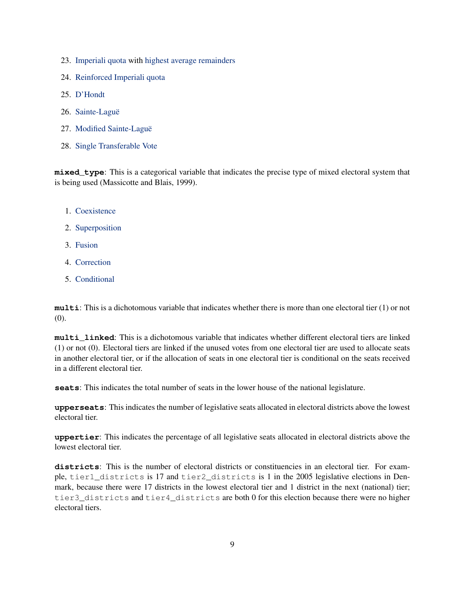- 23. [Imperiali quota](#page-22-1) with [highest average remainders](#page-0-0)
- 24. [Reinforced Imperiali quota](#page-30-0)
- 25. [D'Hondt](#page-17-0)
- 26. [Sainte-Laguë](#page-31-1)
- 27. [Modified Sainte-Laguë](#page-27-0)
- <span id="page-10-1"></span>28. [Single Transferable Vote](#page-33-0)

**mixed\_type**: This is a categorical variable that indicates the precise type of mixed electoral system that is being used [\(Massicotte and Blais,](#page-36-5) [1999\)](#page-36-5).

- 1. [Coexistence](#page-14-3)
- 2. [Superposition](#page-34-2)
- 3. [Fusion](#page-20-1)
- 4. [Correction](#page-15-1)
- <span id="page-10-0"></span>5. [Conditional](#page-14-4)

**multi**: This is a dichotomous variable that indicates whether there is more than one electoral tier (1) or not (0).

**multi\_linked**: This is a dichotomous variable that indicates whether different electoral tiers are linked (1) or not (0). Electoral tiers are linked if the unused votes from one electoral tier are used to allocate seats in another electoral tier, or if the allocation of seats in one electoral tier is conditional on the seats received in a different electoral tier.

**seats**: This indicates the total number of seats in the lower house of the national legislature.

**upperseats**: This indicates the number of legislative seats allocated in electoral districts above the lowest electoral tier.

**uppertier**: This indicates the percentage of all legislative seats allocated in electoral districts above the lowest electoral tier.

**districts**: This is the number of electoral districts or constituencies in an electoral tier. For example, tier1\_districts is 17 and tier2\_districts is 1 in the 2005 legislative elections in Denmark, because there were 17 districts in the lowest electoral tier and 1 district in the next (national) tier; tier3\_districts and tier4\_districts are both 0 for this election because there were no higher electoral tiers.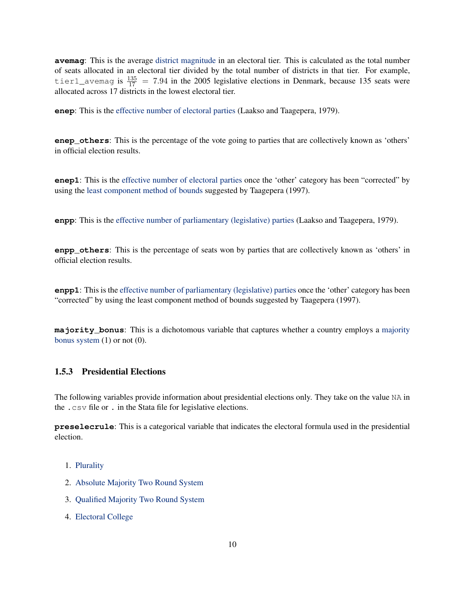**avemag**: This is the average [district magnitude](#page-17-1) in an electoral tier. This is calculated as the total number of seats allocated in an electoral tier divided by the total number of districts in that tier. For example, tier1\_avemag is  $\frac{135}{17}$  = 7.94 in the 2005 legislative elections in Denmark, because 135 seats were allocated across 17 districts in the lowest electoral tier.

**enep**: This is the [effective number of electoral parties](#page-18-1) [\(Laakso and Taagepera,](#page-36-6) [1979\)](#page-36-6).

**enep others**: This is the percentage of the vote going to parties that are collectively known as 'others' in official election results.

**enep1**: This is the [effective number of electoral parties](#page-18-1) once the 'other' category has been "corrected" by using the [least component method of bounds](#page-18-2) suggested by [Taagepera](#page-37-4) [\(1997\)](#page-37-4).

**enpp:** This is the [effective number of parliamentary \(legislative\) parties](#page-19-0) [\(Laakso and Taagepera,](#page-36-6) [1979\)](#page-36-6).

**enpp\_others**: This is the percentage of seats won by parties that are collectively known as 'others' in official election results.

**enpp1**: This is the [effective number of parliamentary \(legislative\) parties](#page-19-0) once the 'other' category has been "corrected" by using the least component method of bounds suggested by [Taagepera](#page-37-4) [\(1997\)](#page-37-4).

**majority\_bonus**: This is a dichotomous variable that captures whether a country employs a [majority](#page-25-3) [bonus system](#page-25-3)  $(1)$  or not  $(0)$ .

#### <span id="page-11-0"></span>1.5.3 Presidential Elections

The following variables provide information about presidential elections only. They take on the value NA in the .csv file or . in the Stata file for legislative elections.

**preselecrule**: This is a categorical variable that indicates the electoral formula used in the presidential election.

- 1. [Plurality](#page-29-3)
- 2. [Absolute Majority Two Round System](#page-12-2)
- 3. [Qualified Majority Two Round System](#page-29-2)
- 4. [Electoral College](#page-20-2)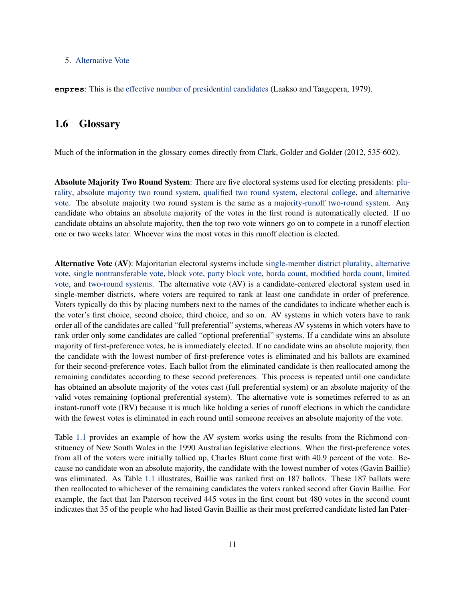#### <span id="page-12-3"></span>5. [Alternative Vote](#page-12-1)

**enpres**: This is the [effective number of presidential candidates](#page-19-1) [\(Laakso and Taagepera,](#page-36-6) [1979\)](#page-36-6).

### <span id="page-12-0"></span>1.6 Glossary

Much of the information in the glossary comes directly from [Clark, Golder and Golder](#page-36-7) [\(2012,](#page-36-7) 535-602).

<span id="page-12-2"></span>Absolute Majority Two Round System: There are five electoral systems used for electing presidents: [plu](#page-29-3)[rality,](#page-29-3) [absolute majority two round system,](#page-12-2) [qualified two round system,](#page-29-2) [electoral college,](#page-20-2) and [alternative](#page-12-1) [vote.](#page-12-1) The absolute majority two round system is the same as a [majority-runoff two-round system.](#page-25-2) Any candidate who obtains an absolute majority of the votes in the first round is automatically elected. If no candidate obtains an absolute majority, then the top two vote winners go on to compete in a runoff election one or two weeks later. Whoever wins the most votes in this runoff election is elected.

<span id="page-12-1"></span>Alternative Vote (AV): Majoritarian electoral systems include [single-member district plurality,](#page-32-1) [alternative](#page-12-1) [vote,](#page-12-1) [single nontransferable vote,](#page-32-2) [block vote,](#page-14-2) [party block vote,](#page-28-1) [borda count,](#page-14-1) [modified borda count,](#page-26-2) [limited](#page-24-0) [vote,](#page-24-0) and [two-round systems.](#page-34-1) The alternative vote (AV) is a candidate-centered electoral system used in single-member districts, where voters are required to rank at least one candidate in order of preference. Voters typically do this by placing numbers next to the names of the candidates to indicate whether each is the voter's first choice, second choice, third choice, and so on. AV systems in which voters have to rank order all of the candidates are called "full preferential" systems, whereas AV systems in which voters have to rank order only some candidates are called "optional preferential" systems. If a candidate wins an absolute majority of first-preference votes, he is immediately elected. If no candidate wins an absolute majority, then the candidate with the lowest number of first-preference votes is eliminated and his ballots are examined for their second-preference votes. Each ballot from the eliminated candidate is then reallocated among the remaining candidates according to these second preferences. This process is repeated until one candidate has obtained an absolute majority of the votes cast (full preferential system) or an absolute majority of the valid votes remaining (optional preferential system). The alternative vote is sometimes referred to as an instant-runoff vote (IRV) because it is much like holding a series of runoff elections in which the candidate with the fewest votes is eliminated in each round until someone receives an absolute majority of the vote.

Table [1.1](#page-13-0) provides an example of how the AV system works using the results from the Richmond constituency of New South Wales in the 1990 Australian legislative elections. When the first-preference votes from all of the voters were initially tallied up, Charles Blunt came first with 40.9 percent of the vote. Because no candidate won an absolute majority, the candidate with the lowest number of votes (Gavin Baillie) was eliminated. As Table [1.1](#page-13-0) illustrates, Baillie was ranked first on 187 ballots. These 187 ballots were then reallocated to whichever of the remaining candidates the voters ranked second after Gavin Baillie. For example, the fact that Ian Paterson received 445 votes in the first count but 480 votes in the second count indicates that 35 of the people who had listed Gavin Baillie as their most preferred candidate listed Ian Pater-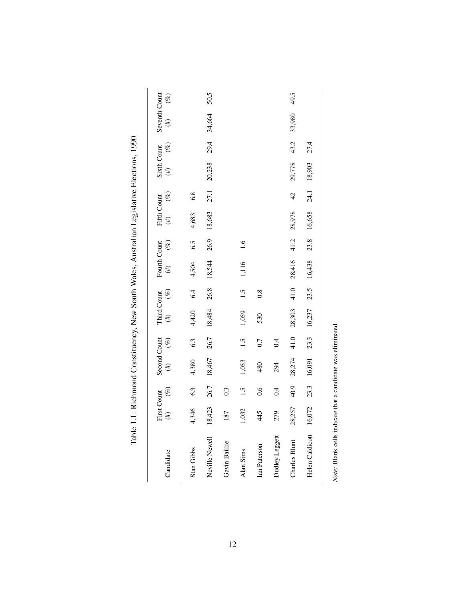<span id="page-13-0"></span>

|                 | <b>First Count</b> |        | Second Count |        | Third Count |      | Fourth Count       |      | Fifth Count        |                | Sixth Count |      | Seventh Count       |      |
|-----------------|--------------------|--------|--------------|--------|-------------|------|--------------------|------|--------------------|----------------|-------------|------|---------------------|------|
| Candidate       | $(\#)$             | $(\%)$ | $(\ddot{t})$ | $(\%)$ | (#) $(6)$   |      | $(\#) \qquad (\%)$ |      | $(\#) \qquad (\%)$ |                | (#) $(%)$   |      | $(\frac{1}{2})$ (%) |      |
| Stan Gibbs      | 4,346              | 6.3    | 4,380        | 6.3    | $4,420$ 6.4 |      | 4,504              | 6.5  | 4,683              | 6.8            |             |      |                     |      |
| Neville Newell  | 18,423             | 26.7   | 18,467       | 26.7   | 18,484 26.8 |      | 18,544             | 26.9 | 18,683             | 27.1           | 20,238      | 29.4 | 34,664              | 50.5 |
| Gavin Baillie   | 187                | 0.3    |              |        |             |      |                    |      |                    |                |             |      |                     |      |
| Alan Sims       | 1,032              | 1.5    | 1,053        | 1.5    | 1,059       | 1.5  | 1,116              | 1.6  |                    |                |             |      |                     |      |
| Ian Paterson    | 445                | 0.6    | 480          | 0.7    | 530         | 0.8  |                    |      |                    |                |             |      |                     |      |
| Dudley Leggett  | 279                | 0.4    | 294          | 0.4    |             |      |                    |      |                    |                |             |      |                     |      |
| Charles Blunt   | 28,257             | 40.9   | 28,274       | 41.0   | 28,303      | 41.0 | 28,416 41.2        |      | 28,978             | $\frac{42}{5}$ | 29,778      | 43.2 | 33,980              | 49.5 |
| Helen Caldicott | 16,072             | 23.3   | 16,091       | 23.3   | 16,237      |      | 23.5 16,438        | 23.8 | 16,658             | 24.1           | 18,903      | 27.4 |                     |      |
|                 |                    |        |              |        |             |      |                    |      |                    |                |             |      |                     |      |

Table 1.1: Richmond Constituency, New South Wales, Australian Legislative Elections, 1990 Table 1.1: Richmond Constituency, New South Wales, Australian Legislative Elections, 1990

Note: Blank cells indicate that a candidate was eliminated. *Note:* Blank cells indicate that a candidate was eliminated.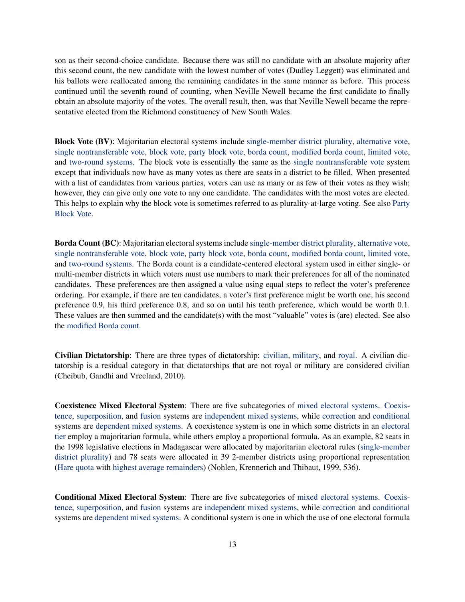son as their second-choice candidate. Because there was still no candidate with an absolute majority after this second count, the new candidate with the lowest number of votes (Dudley Leggett) was eliminated and his ballots were reallocated among the remaining candidates in the same manner as before. This process continued until the seventh round of counting, when Neville Newell became the first candidate to finally obtain an absolute majority of the votes. The overall result, then, was that Neville Newell became the representative elected from the Richmond constituency of New South Wales.

<span id="page-14-2"></span>Block Vote (BV): Majoritarian electoral systems include [single-member district plurality,](#page-32-1) [alternative vote,](#page-12-1) [single nontransferable vote,](#page-32-2) [block vote,](#page-14-2) [party block vote,](#page-28-1) [borda count,](#page-14-1) [modified borda count,](#page-26-2) [limited vote,](#page-24-0) and [two-round systems.](#page-34-1) The block vote is essentially the same as the [single nontransferable vote](#page-32-2) system except that individuals now have as many votes as there are seats in a district to be filled. When presented with a list of candidates from various parties, voters can use as many or as few of their votes as they wish; however, they can give only one vote to any one candidate. The candidates with the most votes are elected. This helps to explain why the block vote is sometimes referred to as plurality-at-large voting. See also [Party](#page-28-1) [Block Vote.](#page-28-1)

<span id="page-14-1"></span>Borda Count (BC): Majoritarian electoral systems include [single-member district plurality,](#page-32-1) [alternative vote,](#page-12-1) [single nontransferable vote,](#page-32-2) [block vote,](#page-14-2) [party block vote,](#page-28-1) [borda count,](#page-14-1) [modified borda count,](#page-26-2) [limited vote,](#page-24-0) and [two-round systems.](#page-34-1) The Borda count is a candidate-centered electoral system used in either single- or multi-member districts in which voters must use numbers to mark their preferences for all of the nominated candidates. These preferences are then assigned a value using equal steps to reflect the voter's preference ordering. For example, if there are ten candidates, a voter's first preference might be worth one, his second preference 0.9, his third preference 0.8, and so on until his tenth preference, which would be worth 0.1. These values are then summed and the candidate(s) with the most "valuable" votes is (are) elected. See also the [modified Borda count.](#page-26-2)

<span id="page-14-0"></span>Civilian Dictatorship: There are three types of dictatorship: [civilian,](#page-14-0) [military,](#page-26-0) and [royal.](#page-31-0) A civilian dictatorship is a residual category in that dictatorships that are not royal or military are considered civilian [\(Cheibub, Gandhi and Vreeland,](#page-36-0) [2010\)](#page-36-0).

<span id="page-14-3"></span>Coexistence Mixed Electoral System: There are five subcategories of [mixed electoral systems.](#page-26-1) [Coexis](#page-14-3)[tence,](#page-14-3) [superposition,](#page-34-2) and [fusion](#page-20-1) systems are [independent mixed systems,](#page-23-0) while [correction](#page-15-1) and [conditional](#page-14-4) systems are [dependent mixed systems.](#page-15-0) A coexistence system is one in which some districts in an [electoral](#page-20-3) [tier](#page-20-3) employ a majoritarian formula, while others employ a proportional formula. As an example, 82 seats in the 1998 legislative elections in Madagascar were allocated by majoritarian electoral rules [\(single-member](#page-32-1) [district plurality\)](#page-32-1) and 78 seats were allocated in 39 2-member districts using proportional representation [\(Hare quota](#page-21-0) with [highest average remainders\)](#page-0-0) [\(Nohlen, Krennerich and Thibaut,](#page-36-8) [1999,](#page-36-8) 536).

<span id="page-14-4"></span>Conditional Mixed Electoral System: There are five subcategories of [mixed electoral systems.](#page-26-1) [Coexis](#page-14-3)[tence,](#page-14-3) [superposition,](#page-34-2) and [fusion](#page-20-1) systems are [independent mixed systems,](#page-23-0) while [correction](#page-15-1) and [conditional](#page-14-4) systems are [dependent mixed systems.](#page-15-0) A conditional system is one in which the use of one electoral formula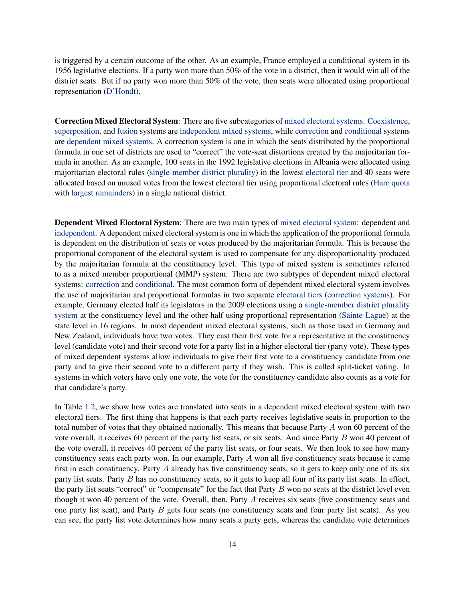is triggered by a certain outcome of the other. As an example, France employed a conditional system in its 1956 legislative elections. If a party won more than 50% of the vote in a district, then it would win all of the district seats. But if no party won more than 50% of the vote, then seats were allocated using proportional representation [\(D'Hondt\)](#page-17-0).

<span id="page-15-1"></span>Correction Mixed Electoral System: There are five subcategories of [mixed electoral systems.](#page-26-1) [Coexistence,](#page-14-3) [superposition,](#page-34-2) and [fusion](#page-20-1) systems are [independent mixed systems,](#page-23-0) while [correction](#page-15-1) and [conditional](#page-14-4) systems are [dependent mixed systems.](#page-15-0) A correction system is one in which the seats distributed by the proportional formula in one set of districts are used to "correct" the vote-seat distortions created by the majoritarian formula in another. As an example, 100 seats in the 1992 legislative elections in Albania were allocated using majoritarian electoral rules [\(single-member district plurality\)](#page-32-1) in the lowest [electoral tier](#page-20-3) and 40 seats were allocated based on unused votes from the lowest electoral tier using proportional electoral rules [\(Hare quota](#page-21-0) with [largest remainders\)](#page-22-0) in a single national district.

<span id="page-15-0"></span>Dependent Mixed Electoral System: There are two main types of [mixed electoral system:](#page-26-1) dependent and [independent.](#page-23-0) A dependent mixed electoral system is one in which the application of the proportional formula is dependent on the distribution of seats or votes produced by the majoritarian formula. This is because the proportional component of the electoral system is used to compensate for any disproportionality produced by the majoritarian formula at the constituency level. This type of mixed system is sometimes referred to as a mixed member proportional (MMP) system. There are two subtypes of dependent mixed electoral systems: [correction](#page-15-1) and [conditional.](#page-14-4) The most common form of dependent mixed electoral system involves the use of majoritarian and proportional formulas in two separate [electoral tiers](#page-20-3) [\(correction systems\)](#page-15-1). For example, Germany elected half its legislators in the 2009 elections using a [single-member district plurality](#page-32-1) [system](#page-32-1) at the constituency level and the other half using proportional representation [\(Sainte-Laguë\)](#page-31-1) at the state level in 16 regions. In most dependent mixed electoral systems, such as those used in Germany and New Zealand, individuals have two votes. They cast their first vote for a representative at the constituency level (candidate vote) and their second vote for a party list in a higher electoral tier (party vote). These types of mixed dependent systems allow individuals to give their first vote to a constituency candidate from one party and to give their second vote to a different party if they wish. This is called split-ticket voting. In systems in which voters have only one vote, the vote for the constituency candidate also counts as a vote for that candidate's party.

In Table [1.2,](#page-16-0) we show how votes are translated into seats in a dependent mixed electoral system with two electoral tiers. The first thing that happens is that each party receives legislative seats in proportion to the total number of votes that they obtained nationally. This means that because Party A won 60 percent of the vote overall, it receives 60 percent of the party list seats, or six seats. And since Party B won 40 percent of the vote overall, it receives 40 percent of the party list seats, or four seats. We then look to see how many constituency seats each party won. In our example, Party A won all five constituency seats because it came first in each constituency. Party A already has five constituency seats, so it gets to keep only one of its six party list seats. Party B has no constituency seats, so it gets to keep all four of its party list seats. In effect, the party list seats "correct" or "compensate" for the fact that Party  $B$  won no seats at the district level even though it won 40 percent of the vote. Overall, then, Party A receives six seats (five constituency seats and one party list seat), and Party B gets four seats (no constituency seats and four party list seats). As you can see, the party list vote determines how many seats a party gets, whereas the candidate vote determines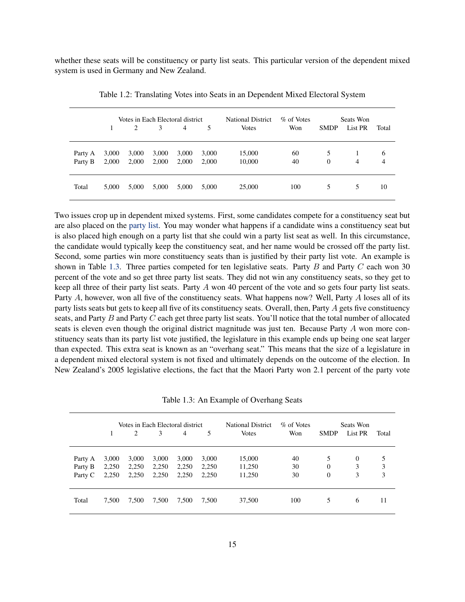whether these seats will be constituency or party list seats. This particular version of the dependent mixed system is used in Germany and New Zealand.

|                    |                | Votes in Each Electoral district<br>2 | 3              | 4              | 5              | <b>National District</b><br><b>Votes</b> | % of Votes<br>Won | <b>SMDP</b>       | Seats Won<br>List PR | Total               |
|--------------------|----------------|---------------------------------------|----------------|----------------|----------------|------------------------------------------|-------------------|-------------------|----------------------|---------------------|
| Party A<br>Party B | 3,000<br>2,000 | 3,000<br>2,000                        | 3,000<br>2,000 | 3,000<br>2,000 | 3,000<br>2,000 | 15,000<br>10,000                         | 60<br>40          | 5<br>$\mathbf{0}$ | $\overline{4}$       | 6<br>$\overline{4}$ |
| Total              | 5,000          | 5,000                                 | 5,000          | 5,000          | 5.000          | 25,000                                   | 100               | 5                 | 5                    | 10                  |

<span id="page-16-0"></span>Table 1.2: Translating Votes into Seats in an Dependent Mixed Electoral System

Two issues crop up in dependent mixed systems. First, some candidates compete for a constituency seat but are also placed on the [party list.](#page-28-2) You may wonder what happens if a candidate wins a constituency seat but is also placed high enough on a party list that she could win a party list seat as well. In this circumstance, the candidate would typically keep the constituency seat, and her name would be crossed off the party list. Second, some parties win more constituency seats than is justified by their party list vote. An example is shown in Table [1.3.](#page-16-1) Three parties competed for ten legislative seats. Party  $B$  and Party  $C$  each won 30 percent of the vote and so get three party list seats. They did not win any constituency seats, so they get to keep all three of their party list seats. Party A won 40 percent of the vote and so gets four party list seats. Party A, however, won all five of the constituency seats. What happens now? Well, Party A loses all of its party lists seats but gets to keep all five of its constituency seats. Overall, then, Party A gets five constituency seats, and Party  $B$  and Party  $C$  each get three party list seats. You'll notice that the total number of allocated seats is eleven even though the original district magnitude was just ten. Because Party A won more constituency seats than its party list vote justified, the legislature in this example ends up being one seat larger than expected. This extra seat is known as an "overhang seat." This means that the size of a legislature in a dependent mixed electoral system is not fixed and ultimately depends on the outcome of the election. In New Zealand's 2005 legislative elections, the fact that the Maori Party won 2.1 percent of the party vote

<span id="page-16-1"></span>Table 1.3: An Example of Overhang Seats

|         |       |       | Votes in Each Electoral district |       |       | <b>National District</b> | % of Votes |                | Seats Won |       |
|---------|-------|-------|----------------------------------|-------|-------|--------------------------|------------|----------------|-----------|-------|
|         |       | 2     | 3                                | 4     | 5     | <b>Votes</b>             | Won        | <b>SMDP</b>    | List PR   | Total |
| Party A | 3,000 | 3,000 | 3,000                            | 3,000 | 3,000 | 15,000                   | 40         | 5              | $\Omega$  | 5     |
| Party B | 2,250 | 2,250 | 2,250                            | 2,250 | 2,250 | 11,250                   | 30         | $\theta$       | 3         | 3     |
| Party C | 2,250 | 2,250 | 2,250                            | 2,250 | 2,250 | 11,250                   | 30         | $\overline{0}$ | 3         | 3     |
| Total   | 7,500 | 7,500 | 7,500                            | 7,500 | 7,500 | 37,500                   | 100        | 5              | 6         | 11    |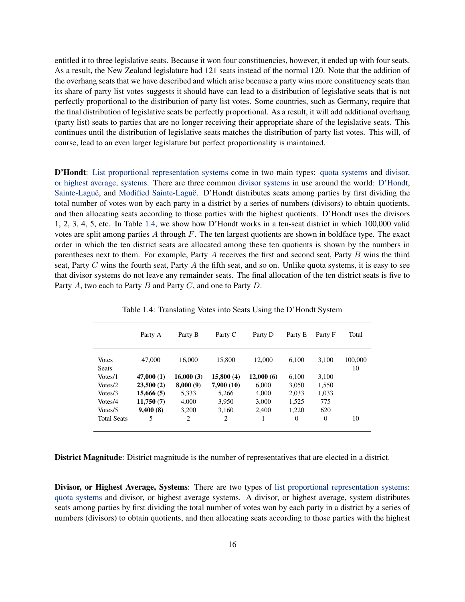entitled it to three legislative seats. Because it won four constituencies, however, it ended up with four seats. As a result, the New Zealand legislature had 121 seats instead of the normal 120. Note that the addition of the overhang seats that we have described and which arise because a party wins more constituency seats than its share of party list votes suggests it should have can lead to a distribution of legislative seats that is not perfectly proportional to the distribution of party list votes. Some countries, such as Germany, require that the final distribution of legislative seats be perfectly proportional. As a result, it will add additional overhang (party list) seats to parties that are no longer receiving their appropriate share of the legislative seats. This continues until the distribution of legislative seats matches the distribution of party list votes. This will, of course, lead to an even larger legislature but perfect proportionality is maintained.

<span id="page-17-0"></span>D'Hondt: [List proportional representation systems](#page-24-1) come in two main types: [quota systems](#page-30-1) and [divisor,](#page-17-2) [or highest average, systems.](#page-17-2) There are three common [divisor systems](#page-17-2) in use around the world: [D'Hondt,](#page-17-0) [Sainte-Laguë,](#page-31-1) and [Modified Sainte-Laguë.](#page-27-0) D'Hondt distributes seats among parties by first dividing the total number of votes won by each party in a district by a series of numbers (divisors) to obtain quotients, and then allocating seats according to those parties with the highest quotients. D'Hondt uses the divisors 1, 2, 3, 4, 5, etc. In Table [1.4,](#page-17-3) we show how D'Hondt works in a ten-seat district in which 100,000 valid votes are split among parties A through F. The ten largest quotients are shown in boldface type. The exact order in which the ten district seats are allocated among these ten quotients is shown by the numbers in parentheses next to them. For example, Party A receives the first and second seat, Party B wins the third seat, Party  $C$  wins the fourth seat, Party  $A$  the fifth seat, and so on. Unlike quota systems, it is easy to see that divisor systems do not leave any remainder seats. The final allocation of the ten district seats is five to Party  $A$ , two each to Party  $B$  and Party  $C$ , and one to Party  $D$ .

|                              | Party A    | Party B        | Party C    | Party D   | Party E  | Party F  | Total         |
|------------------------------|------------|----------------|------------|-----------|----------|----------|---------------|
| <b>Votes</b><br><b>Seats</b> | 47,000     | 16.000         | 15,800     | 12.000    | 6.100    | 3.100    | 100,000<br>10 |
| Votes/1                      | 47,000 (1) | 16,000(3)      | 15,800(4)  | 12,000(6) | 6.100    | 3,100    |               |
| Votes/2                      | 23,500(2)  | 8,000(9)       | 7,900 (10) | 6,000     | 3,050    | 1,550    |               |
| Votes/3                      | 15,666(5)  | 5.333          | 5.266      | 4.000     | 2,033    | 1,033    |               |
| Votes/4                      | 11,750(7)  | 4,000          | 3,950      | 3,000     | 1,525    | 775      |               |
| Votes/5                      | 9,400(8)   | 3.200          | 3.160      | 2.400     | 1.220    | 620      |               |
| <b>Total Seats</b>           | 5          | $\overline{c}$ | 2          | 1         | $\Omega$ | $\theta$ | 10            |

<span id="page-17-3"></span>Table 1.4: Translating Votes into Seats Using the D'Hondt System

<span id="page-17-1"></span>District Magnitude: District magnitude is the number of representatives that are elected in a district.

<span id="page-17-2"></span>Divisor, or Highest Average, Systems: There are two types of [list proportional representation systems:](#page-24-1) [quota systems](#page-30-1) and divisor, or highest average systems. A divisor, or highest average, system distributes seats among parties by first dividing the total number of votes won by each party in a district by a series of numbers (divisors) to obtain quotients, and then allocating seats according to those parties with the highest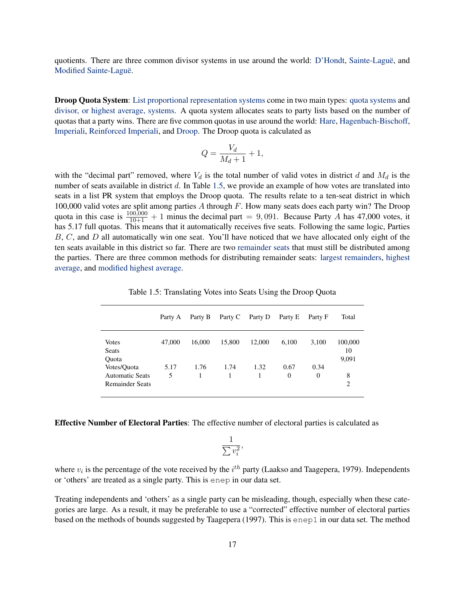quotients. There are three common divisor systems in use around the world: [D'Hondt,](#page-17-0) [Sainte-Laguë,](#page-31-1) and [Modified Sainte-Laguë.](#page-27-0)

<span id="page-18-0"></span>Droop Quota System: [List proportional representation systems](#page-24-1) come in two main types: [quota systems](#page-30-1) and [divisor, or highest average, systems.](#page-17-2) A quota system allocates seats to party lists based on the number of quotas that a party wins. There are five common quotas in use around the world: [Hare,](#page-21-0) [Hagenbach-Bischoff,](#page-20-0) [Imperiali,](#page-22-1) [Reinforced Imperiali,](#page-30-0) and [Droop.](#page-18-0) The Droop quota is calculated as

$$
Q = \frac{V_d}{M_d + 1} + 1,
$$

with the "decimal part" removed, where  $V_d$  is the total number of valid votes in district d and  $M_d$  is the number of seats available in district  $d$ . In Table [1.5,](#page-18-3) we provide an example of how votes are translated into seats in a list PR system that employs the Droop quota. The results relate to a ten-seat district in which 100,000 valid votes are split among parties A through F. How many seats does each party win? The Droop quota in this case is  $\frac{100,000}{10+1} + 1$  minus the decimal part = 9,091. Because Party A has 47,000 votes, it has 5.17 full quotas. This means that it automatically receives five seats. Following the same logic, Parties  $B, C$ , and  $D$  all automatically win one seat. You'll have noticed that we have allocated only eight of the ten seats available in this district so far. There are two [remainder seats](#page-31-2) that must still be distributed among the parties. There are three common methods for distributing remainder seats: [largest remainders,](#page-22-0) [highest](#page-0-0) [average,](#page-0-0) and [modified highest average.](#page-27-1)

|                                                                 | Party A   | Party B | Party C | Party D | Party E          | Party F          | Total                  |
|-----------------------------------------------------------------|-----------|---------|---------|---------|------------------|------------------|------------------------|
| Votes<br><b>Seats</b><br>Quota                                  | 47,000    | 16,000  | 15,800  | 12,000  | 6,100            | 3,100            | 100,000<br>10<br>9,091 |
| Votes/Quota<br><b>Automatic Seats</b><br><b>Remainder Seats</b> | 5.17<br>5 | 1.76    | 1.74    | 1.32    | 0.67<br>$\theta$ | 0.34<br>$\Omega$ | 8<br>2                 |

<span id="page-18-3"></span>Table 1.5: Translating Votes into Seats Using the Droop Quota

<span id="page-18-1"></span>Effective Number of Electoral Parties: The effective number of electoral parties is calculated as

$$
\frac{1}{\sum v_i^2},
$$

where  $v_i$  is the percentage of the vote received by the  $i^{th}$  party [\(Laakso and Taagepera,](#page-36-6) [1979\)](#page-36-6). Independents or 'others' are treated as a single party. This is enep in our data set.

<span id="page-18-2"></span>Treating independents and 'others' as a single party can be misleading, though, especially when these categories are large. As a result, it may be preferable to use a "corrected" effective number of electoral parties based on the methods of bounds suggested by [Taagepera](#page-37-4) [\(1997\)](#page-37-4). This is enep1 in our data set. The method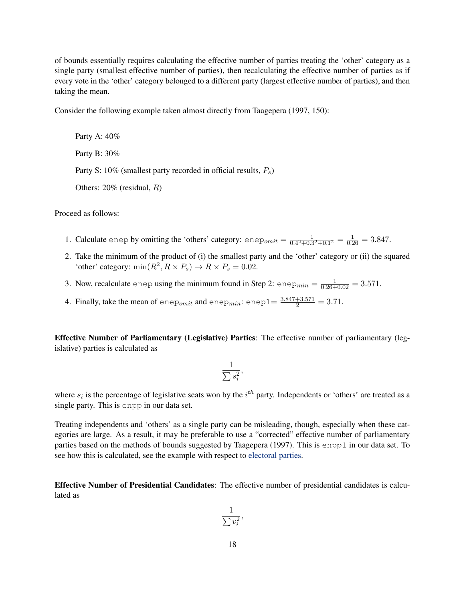of bounds essentially requires calculating the effective number of parties treating the 'other' category as a single party (smallest effective number of parties), then recalculating the effective number of parties as if every vote in the 'other' category belonged to a different party (largest effective number of parties), and then taking the mean.

Consider the following example taken almost directly from [Taagepera](#page-37-4) [\(1997,](#page-37-4) 150):

Party A: 40% Party B: 30% Party S: 10% (smallest party recorded in official results,  $P_s$ ) Others: 20% (residual, R)

Proceed as follows:

- 1. Calculate enep by omitting the 'others' category: enep<sub>omit</sub> =  $\frac{1}{0.4^2+0.5^2}$  $\frac{1}{0.4^2 + 0.3^2 + 0.1^2} = \frac{1}{0.26} = 3.847.$
- 2. Take the minimum of the product of (i) the smallest party and the 'other' category or (ii) the squared 'other' category:  $\min(R^2, R \times P_s) \rightarrow R \times P_s = 0.02$ .
- 3. Now, recalculate enep using the minimum found in Step 2:  $enep_{min} = \frac{1}{0.26 + 0.02} = 3.571$ .
- <span id="page-19-2"></span>4. Finally, take the mean of enep<sub>omit</sub> and enep<sub>min</sub>: enep $1 = \frac{3.847 + 3.571}{2} = 3.71$ .

<span id="page-19-0"></span>Effective Number of Parliamentary (Legislative) Parties: The effective number of parliamentary (legislative) parties is calculated as

$$
\frac{1}{\sum s_i^2},
$$

where  $s_i$  is the percentage of legislative seats won by the  $i^{th}$  party. Independents or 'others' are treated as a single party. This is enpp in our data set.

Treating independents and 'others' as a single party can be misleading, though, especially when these categories are large. As a result, it may be preferable to use a "corrected" effective number of parliamentary parties based on the methods of bounds suggested by [Taagepera](#page-37-4) [\(1997\)](#page-37-4). This is enpp1 in our data set. To see how this is calculated, see the example with respect to [electoral parties.](#page-18-2)

<span id="page-19-1"></span>Effective Number of Presidential Candidates: The effective number of presidential candidates is calculated as

$$
\frac{1}{\sum v_i^2},
$$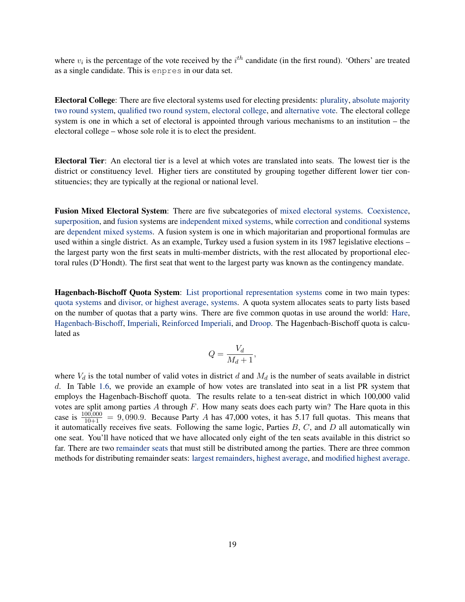where  $v_i$  is the percentage of the vote received by the  $i^{th}$  candidate (in the first round). 'Others' are treated as a single candidate. This is enpres in our data set.

<span id="page-20-2"></span>Electoral College: There are five electoral systems used for electing presidents: [plurality,](#page-29-3) [absolute majority](#page-12-2) [two round system,](#page-12-2) [qualified two round system,](#page-29-2) [electoral college,](#page-20-2) and [alternative vote.](#page-12-1) The electoral college system is one in which a set of electoral is appointed through various mechanisms to an institution – the electoral college – whose sole role it is to elect the president.

<span id="page-20-3"></span>Electoral Tier: An electoral tier is a level at which votes are translated into seats. The lowest tier is the district or constituency level. Higher tiers are constituted by grouping together different lower tier constituencies; they are typically at the regional or national level.

<span id="page-20-1"></span>Fusion Mixed Electoral System: There are five subcategories of [mixed electoral systems.](#page-26-1) [Coexistence,](#page-14-3) [superposition,](#page-34-2) and [fusion](#page-20-1) systems are [independent mixed systems,](#page-23-0) while [correction](#page-15-1) and [conditional](#page-14-4) systems are [dependent mixed systems.](#page-15-0) A fusion system is one in which majoritarian and proportional formulas are used within a single district. As an example, Turkey used a fusion system in its 1987 legislative elections – the largest party won the first seats in multi-member districts, with the rest allocated by proportional electoral rules (D'Hondt). The first seat that went to the largest party was known as the contingency mandate.

<span id="page-20-0"></span>Hagenbach-Bischoff Quota System: [List proportional representation systems](#page-24-1) come in two main types: [quota systems](#page-30-1) and [divisor, or highest average, systems.](#page-17-2) A quota system allocates seats to party lists based on the number of quotas that a party wins. There are five common quotas in use around the world: [Hare,](#page-21-0) [Hagenbach-Bischoff,](#page-20-0) [Imperiali,](#page-22-1) [Reinforced Imperiali,](#page-30-0) and [Droop.](#page-18-0) The Hagenbach-Bischoff quota is calculated as

$$
Q = \frac{V_d}{M_d + 1},
$$

where  $V_d$  is the total number of valid votes in district d and  $M_d$  is the number of seats available in district d. In Table [1.6,](#page-21-1) we provide an example of how votes are translated into seat in a list PR system that employs the Hagenbach-Bischoff quota. The results relate to a ten-seat district in which 100,000 valid votes are split among parties  $A$  through  $F$ . How many seats does each party win? The Hare quota in this case is  $\frac{100,000}{10+1}$  = 9,090.9. Because Party A has 47,000 votes, it has 5.17 full quotas. This means that it automatically receives five seats. Following the same logic, Parties  $B, C$ , and  $D$  all automatically win one seat. You'll have noticed that we have allocated only eight of the ten seats available in this district so far. There are two [remainder seats](#page-31-2) that must still be distributed among the parties. There are three common methods for distributing remainder seats: [largest remainders,](#page-22-0) [highest average,](#page-0-0) and [modified highest average.](#page-27-1)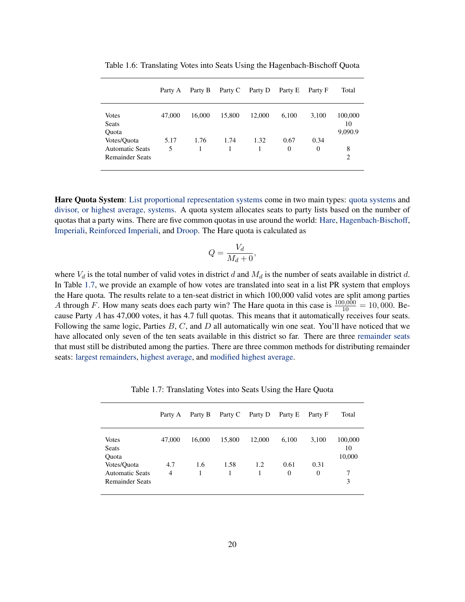|                                                                 | Party A   | Party B | Party C | Party D | Party E          | Party F          | Total                    |
|-----------------------------------------------------------------|-----------|---------|---------|---------|------------------|------------------|--------------------------|
| <b>Votes</b><br><b>Seats</b><br>Quota                           | 47,000    | 16,000  | 15,800  | 12,000  | 6,100            | 3,100            | 100,000<br>10<br>9,090.9 |
| Votes/Quota<br><b>Automatic Seats</b><br><b>Remainder Seats</b> | 5.17<br>5 | 1.76    | 1.74    | 1.32    | 0.67<br>$\theta$ | 0.34<br>$\Omega$ | 8<br>$\overline{c}$      |

<span id="page-21-1"></span>Table 1.6: Translating Votes into Seats Using the Hagenbach-Bischoff Quota

<span id="page-21-0"></span>Hare Quota System: [List proportional representation systems](#page-24-1) come in two main types: [quota systems](#page-30-1) and [divisor, or highest average, systems.](#page-17-2) A quota system allocates seats to party lists based on the number of quotas that a party wins. There are five common quotas in use around the world: [Hare,](#page-21-0) [Hagenbach-Bischoff,](#page-20-0) [Imperiali,](#page-22-1) [Reinforced Imperiali,](#page-30-0) and [Droop.](#page-18-0) The Hare quota is calculated as

$$
Q = \frac{V_d}{M_d + 0},
$$

where  $V_d$  is the total number of valid votes in district d and  $M_d$  is the number of seats available in district d. In Table [1.7,](#page-21-2) we provide an example of how votes are translated into seat in a list PR system that employs the Hare quota. The results relate to a ten-seat district in which 100,000 valid votes are split among parties A through F. How many seats does each party win? The Hare quota in this case is  $\frac{100,000}{10} = 10,000$ . Because Party A has 47,000 votes, it has 4.7 full quotas. This means that it automatically receives four seats. Following the same logic, Parties  $B, C$ , and  $D$  all automatically win one seat. You'll have noticed that we have allocated only seven of the ten seats available in this district so far. There are three [remainder seats](#page-31-2) that must still be distributed among the parties. There are three common methods for distributing remainder seats: [largest remainders,](#page-22-0) [highest average,](#page-0-0) and [modified highest average.](#page-27-1)

|                                                | Party A  | Party B  | Party C | Party D | Party E          | Party F          | Total                   |
|------------------------------------------------|----------|----------|---------|---------|------------------|------------------|-------------------------|
| Votes<br>Seats                                 | 47,000   | 16,000   | 15,800  | 12,000  | 6,100            | 3,100            | 100,000<br>10<br>10,000 |
| Quota<br>Votes/Quota<br><b>Automatic Seats</b> | 4.7<br>4 | 1.6<br>1 | 1.58    | 1.2     | 0.61<br>$\Omega$ | 0.31<br>$\theta$ | 7                       |
| <b>Remainder Seats</b>                         |          |          |         |         |                  |                  | 3                       |

<span id="page-21-2"></span>Table 1.7: Translating Votes into Seats Using the Hare Quota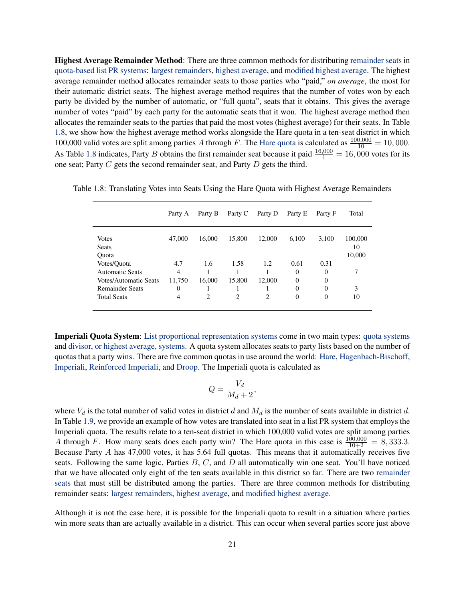<span id="page-22-0"></span>Highest Average Remainder Method: There are three common methods for distributing [remainder seats](#page-31-2) in [quota-based list PR systems:](#page-30-1) [largest remainders,](#page-22-0) [highest average,](#page-0-0) and [modified highest average.](#page-27-1) The highest average remainder method allocates remainder seats to those parties who "paid," *on average*, the most for their automatic district seats. The highest average method requires that the number of votes won by each party be divided by the number of automatic, or "full quota", seats that it obtains. This gives the average number of votes "paid" by each party for the automatic seats that it won. The highest average method then allocates the remainder seats to the parties that paid the most votes (highest average) for their seats. In Table [1.8,](#page-22-2) we show how the highest average method works alongside the Hare quota in a ten-seat district in which 100,000 valid votes are split among parties A through F. The [Hare quota](#page-21-0) is calculated as  $\frac{100,000}{10} = 10,000$ . As Table [1.8](#page-22-2) indicates, Party B obtains the first remainder seat because it paid  $\frac{16,000}{1} = 16,000$  votes for its one seat; Party C gets the second remainder seat, and Party D gets the third.

<span id="page-22-2"></span>

|                        | Party A | Party B | Party C        | Party D        | Party E  | Party F | Total   |
|------------------------|---------|---------|----------------|----------------|----------|---------|---------|
| <b>Votes</b>           | 47,000  | 16,000  | 15,800         | 12,000         | 6,100    | 3,100   | 100,000 |
| <b>Seats</b>           |         |         |                |                |          |         | 10      |
| Quota                  |         |         |                |                |          |         | 10,000  |
| Votes/Quota            | 4.7     | 1.6     | 1.58           | 1.2            | 0.61     | 0.31    |         |
| <b>Automatic Seats</b> | 4       |         |                |                | $\Omega$ | 0       | 7       |
| Votes/Automatic Seats  | 11,750  | 16,000  | 15,800         | 12,000         | $\Omega$ | 0       |         |
| <b>Remainder Seats</b> | 0       |         |                |                | $\theta$ | 0       | 3       |
| <b>Total Seats</b>     | 4       | 2       | $\overline{2}$ | $\overline{2}$ | $\theta$ | 0       | 10      |

Table 1.8: Translating Votes into Seats Using the Hare Quota with Highest Average Remainders

<span id="page-22-1"></span>Imperiali Quota System: [List proportional representation systems](#page-24-1) come in two main types: [quota systems](#page-30-1) and [divisor, or highest average, systems.](#page-17-2) A quota system allocates seats to party lists based on the number of quotas that a party wins. There are five common quotas in use around the world: [Hare,](#page-21-0) [Hagenbach-Bischoff,](#page-20-0) [Imperiali,](#page-22-1) [Reinforced Imperiali,](#page-30-0) and [Droop.](#page-18-0) The Imperiali quota is calculated as

$$
Q = \frac{V_d}{M_d + 2},
$$

where  $V_d$  is the total number of valid votes in district d and  $M_d$  is the number of seats available in district d. In Table [1.9,](#page-23-1) we provide an example of how votes are translated into seat in a list PR system that employs the Imperiali quota. The results relate to a ten-seat district in which 100,000 valid votes are split among parties A through F. How many seats does each party win? The Hare quota in this case is  $\frac{100,000}{10+2} = 8,333.3$ . Because Party A has 47,000 votes, it has 5.64 full quotas. This means that it automatically receives five seats. Following the same logic, Parties  $B, C$ , and  $D$  all automatically win one seat. You'll have noticed that we have allocated only eight of the ten seats available in this district so far. There are two [remainder](#page-31-2) [seats](#page-31-2) that must still be distributed among the parties. There are three common methods for distributing remainder seats: [largest remainders,](#page-22-0) [highest average,](#page-0-0) and [modified highest average.](#page-27-1)

Although it is not the case here, it is possible for the Imperiali quota to result in a situation where parties win more seats than are actually available in a district. This can occur when several parties score just above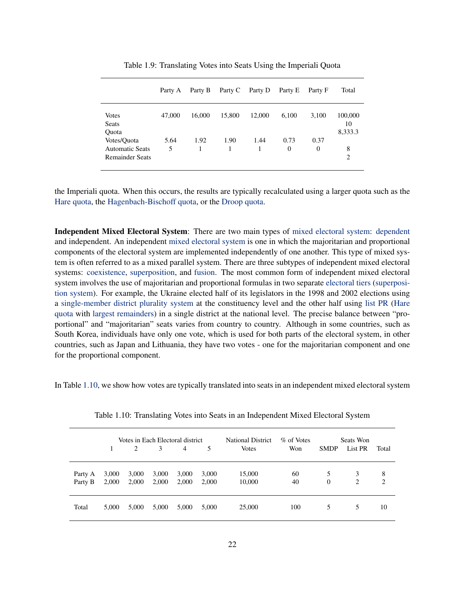|                                                                 | Party A   | Party B   | Party C | Party D | Party E          | Party F          | Total                    |
|-----------------------------------------------------------------|-----------|-----------|---------|---------|------------------|------------------|--------------------------|
| <b>Votes</b><br>Seats<br>Quota                                  | 47,000    | 16,000    | 15,800  | 12,000  | 6,100            | 3,100            | 100,000<br>10<br>8,333.3 |
| Votes/Quota<br><b>Automatic Seats</b><br><b>Remainder Seats</b> | 5.64<br>5 | 1.92<br>1 | 1.90    | 1.44    | 0.73<br>$\Omega$ | 0.37<br>$\Omega$ | 8<br>$\overline{2}$      |

<span id="page-23-1"></span>Table 1.9: Translating Votes into Seats Using the Imperiali Quota

the Imperiali quota. When this occurs, the results are typically recalculated using a larger quota such as the [Hare quota,](#page-21-0) the [Hagenbach-Bischoff quota,](#page-20-0) or the [Droop quota.](#page-18-0)

<span id="page-23-0"></span>Independent Mixed Electoral System: There are two main types of [mixed electoral system:](#page-26-1) [dependent](#page-15-0) and independent. An independent [mixed electoral system](#page-26-1) is one in which the majoritarian and proportional components of the electoral system are implemented independently of one another. This type of mixed system is often referred to as a mixed parallel system. There are three subtypes of independent mixed electoral systems: [coexistence,](#page-14-3) [superposition,](#page-34-2) and [fusion.](#page-20-1) The most common form of independent mixed electoral system involves the use of majoritarian and proportional formulas in two separate [electoral tiers](#page-20-3) [\(superposi](#page-34-2)[tion system\)](#page-34-2). For example, the Ukraine elected half of its legislators in the 1998 and 2002 elections using a [single-member district plurality system](#page-32-1) at the constituency level and the other half using [list PR](#page-24-1) [\(Hare](#page-21-0) [quota](#page-21-0) with [largest remainders\)](#page-22-0) in a single district at the national level. The precise balance between "proportional" and "majoritarian" seats varies from country to country. Although in some countries, such as South Korea, individuals have only one vote, which is used for both parts of the electoral system, in other countries, such as Japan and Lithuania, they have two votes - one for the majoritarian component and one for the proportional component.

In Table [1.10,](#page-23-2) we show how votes are typically translated into seats in an independent mixed electoral system

|         |       |       | Votes in Each Electoral district |                |       | <b>National District</b> | % of Votes |             | Seats Won |       |
|---------|-------|-------|----------------------------------|----------------|-------|--------------------------|------------|-------------|-----------|-------|
|         |       | 2     | 3                                | $\overline{4}$ | 5     | <b>Votes</b>             | Won        | <b>SMDP</b> | List PR   | Total |
| Party A | 3,000 | 3,000 | 3,000                            | 3,000          | 3,000 | 15,000                   | 60         | 5           | 3         | 8     |
| Party B | 2,000 | 2,000 | 2,000                            | 2,000          | 2,000 | 10,000                   | 40         | $\theta$    | 2         | 2     |
| Total   | 5,000 | 5,000 | 5,000                            | 5,000          | 5,000 | 25,000                   | 100        | 5           | 5         | 10    |

<span id="page-23-2"></span>Table 1.10: Translating Votes into Seats in an Independent Mixed Electoral System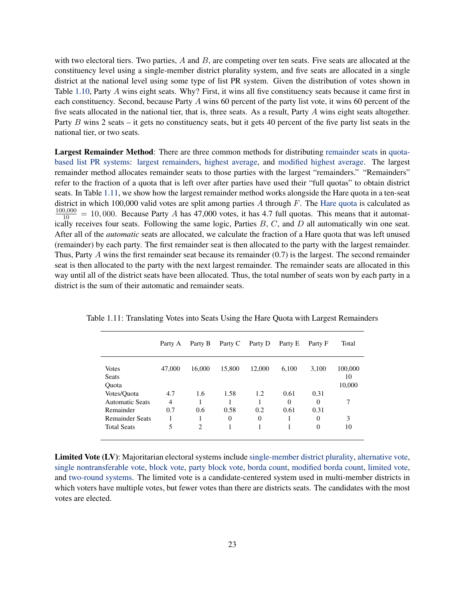with two electoral tiers. Two parties,  $A$  and  $B$ , are competing over ten seats. Five seats are allocated at the constituency level using a single-member district plurality system, and five seats are allocated in a single district at the national level using some type of list PR system. Given the distribution of votes shown in Table [1.10,](#page-23-2) Party A wins eight seats. Why? First, it wins all five constituency seats because it came first in each constituency. Second, because Party A wins 60 percent of the party list vote, it wins 60 percent of the five seats allocated in the national tier, that is, three seats. As a result, Party A wins eight seats altogether. Party B wins 2 seats – it gets no constituency seats, but it gets 40 percent of the five party list seats in the national tier, or two seats.

Largest Remainder Method: There are three common methods for distributing [remainder seats](#page-31-2) in [quota](#page-30-1)[based list PR systems:](#page-30-1) [largest remainders,](#page-22-0) [highest average,](#page-0-0) and [modified highest average.](#page-27-1) The largest remainder method allocates remainder seats to those parties with the largest "remainders." "Remainders" refer to the fraction of a quota that is left over after parties have used their "full quotas" to obtain district seats. In Table [1.11,](#page-24-2) we show how the largest remainder method works alongside the Hare quota in a ten-seat district in which 100,000 valid votes are split among parties  $A$  through  $F$ . The [Hare quota](#page-21-0) is calculated as  $\frac{100,000}{10}$  = 10,000. Because Party A has 47,000 votes, it has 4.7 full quotas. This means that it automatically receives four seats. Following the same logic, Parties  $B, C$ , and  $D$  all automatically win one seat. After all of the *automatic* seats are allocated, we calculate the fraction of a Hare quota that was left unused (remainder) by each party. The first remainder seat is then allocated to the party with the largest remainder. Thus, Party A wins the first remainder seat because its remainder (0.7) is the largest. The second remainder seat is then allocated to the party with the next largest remainder. The remainder seats are allocated in this way until all of the district seats have been allocated. Thus, the total number of seats won by each party in a district is the sum of their automatic and remainder seats.

<span id="page-24-2"></span>

|                        | Party A        | Party B        | Party C  | Party D  | Party E  | Party F  | Total   |
|------------------------|----------------|----------------|----------|----------|----------|----------|---------|
| <b>Votes</b>           | 47,000         | 16,000         | 15,800   | 12,000   | 6,100    | 3,100    | 100,000 |
| <b>Seats</b>           |                |                |          |          |          |          | 10      |
| Quota                  |                |                |          |          |          |          | 10,000  |
| Votes/Quota            | 4.7            | 1.6            | 1.58     | 1.2      | 0.61     | 0.31     |         |
| <b>Automatic Seats</b> | $\overline{4}$ |                |          |          | $\Omega$ | $\Omega$ | 7       |
| Remainder              | 0.7            | 0.6            | 0.58     | 0.2      | 0.61     | 0.31     |         |
| <b>Remainder Seats</b> | 1              | л              | $\theta$ | $\Omega$ |          | $\theta$ | 3       |
| <b>Total Seats</b>     | 5              | $\overline{c}$ |          |          |          | $\theta$ | 10      |

Table 1.11: Translating Votes into Seats Using the Hare Quota with Largest Remainders

<span id="page-24-1"></span><span id="page-24-0"></span>Limited Vote (LV): Majoritarian electoral systems include [single-member district plurality,](#page-32-1) [alternative vote,](#page-12-1) [single nontransferable vote,](#page-32-2) [block vote,](#page-14-2) [party block vote,](#page-28-1) [borda count,](#page-14-1) [modified borda count,](#page-26-2) [limited vote,](#page-24-0) and [two-round systems.](#page-34-1) The limited vote is a candidate-centered system used in multi-member districts in which voters have multiple votes, but fewer votes than there are districts seats. The candidates with the most votes are elected.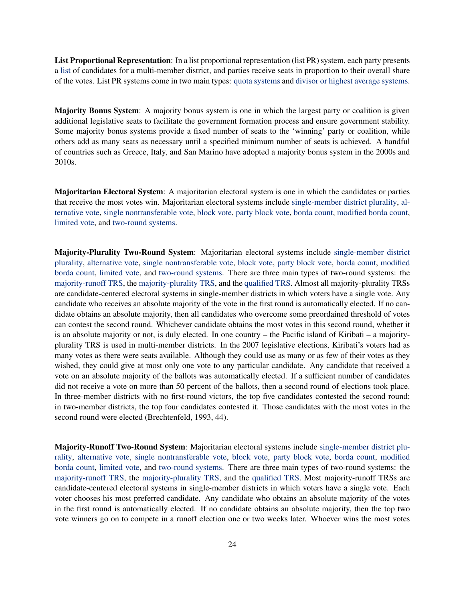List Proportional Representation: In a list proportional representation (list PR) system, each party presents a [list](#page-28-2) of candidates for a multi-member district, and parties receive seats in proportion to their overall share of the votes. List PR systems come in two main types: [quota systems](#page-30-1) and [divisor or highest average systems.](#page-17-2)

<span id="page-25-3"></span>Majority Bonus System: A majority bonus system is one in which the largest party or coalition is given additional legislative seats to facilitate the government formation process and ensure government stability. Some majority bonus systems provide a fixed number of seats to the 'winning' party or coalition, while others add as many seats as necessary until a specified minimum number of seats is achieved. A handful of countries such as Greece, Italy, and San Marino have adopted a majority bonus system in the 2000s and 2010s.

<span id="page-25-0"></span>Majoritarian Electoral System: A majoritarian electoral system is one in which the candidates or parties that receive the most votes win. Majoritarian electoral systems include [single-member district plurality,](#page-32-1) [al](#page-12-1)[ternative vote,](#page-12-1) [single nontransferable vote,](#page-32-2) [block vote,](#page-14-2) [party block vote,](#page-28-1) [borda count,](#page-14-1) [modified borda count,](#page-26-2) [limited vote,](#page-24-0) and [two-round systems.](#page-34-1)

<span id="page-25-1"></span>Majority-Plurality Two-Round System: Majoritarian electoral systems include [single-member district](#page-32-1) [plurality,](#page-32-1) [alternative vote,](#page-12-1) [single nontransferable vote,](#page-32-2) [block vote,](#page-14-2) [party block vote,](#page-28-1) [borda count,](#page-14-1) [modified](#page-26-2) [borda count,](#page-26-2) [limited vote,](#page-24-0) and [two-round systems.](#page-34-1) There are three main types of two-round systems: the [majority-runoff TRS,](#page-25-2) the [majority-plurality TRS,](#page-25-1) and the [qualified TRS.](#page-29-2) Almost all majority-plurality TRSs are candidate-centered electoral systems in single-member districts in which voters have a single vote. Any candidate who receives an absolute majority of the vote in the first round is automatically elected. If no candidate obtains an absolute majority, then all candidates who overcome some preordained threshold of votes can contest the second round. Whichever candidate obtains the most votes in this second round, whether it is an absolute majority or not, is duly elected. In one country – the Pacific island of Kiribati – a majorityplurality TRS is used in multi-member districts. In the 2007 legislative elections, Kiribati's voters had as many votes as there were seats available. Although they could use as many or as few of their votes as they wished, they could give at most only one vote to any particular candidate. Any candidate that received a vote on an absolute majority of the ballots was automatically elected. If a sufficient number of candidates did not receive a vote on more than 50 percent of the ballots, then a second round of elections took place. In three-member districts with no first-round victors, the top five candidates contested the second round; in two-member districts, the top four candidates contested it. Those candidates with the most votes in the second round were elected [\(Brechtenfeld,](#page-36-9) [1993,](#page-36-9) 44).

<span id="page-25-2"></span>Majority-Runoff Two-Round System: Majoritarian electoral systems include [single-member district plu](#page-32-1)[rality,](#page-32-1) [alternative vote,](#page-12-1) [single nontransferable vote,](#page-32-2) [block vote,](#page-14-2) [party block vote,](#page-28-1) [borda count,](#page-14-1) [modified](#page-26-2) [borda count,](#page-26-2) [limited vote,](#page-24-0) and [two-round systems.](#page-34-1) There are three main types of two-round systems: the [majority-runoff TRS,](#page-25-2) the [majority-plurality TRS,](#page-25-1) and the [qualified TRS.](#page-29-2) Most majority-runoff TRSs are candidate-centered electoral systems in single-member districts in which voters have a single vote. Each voter chooses his most preferred candidate. Any candidate who obtains an absolute majority of the votes in the first round is automatically elected. If no candidate obtains an absolute majority, then the top two vote winners go on to compete in a runoff election one or two weeks later. Whoever wins the most votes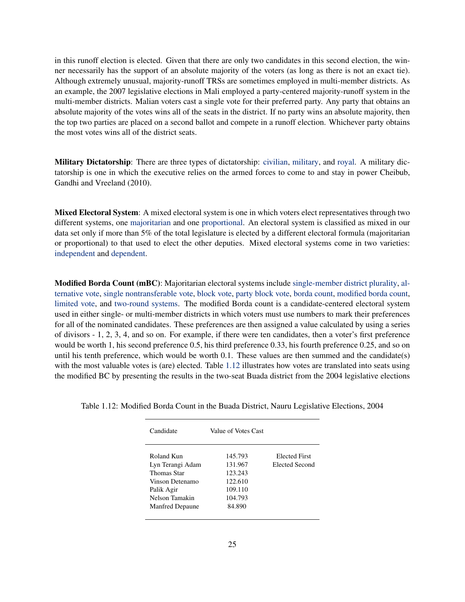in this runoff election is elected. Given that there are only two candidates in this second election, the winner necessarily has the support of an absolute majority of the voters (as long as there is not an exact tie). Although extremely unusual, majority-runoff TRSs are sometimes employed in multi-member districts. As an example, the 2007 legislative elections in Mali employed a party-centered majority-runoff system in the multi-member districts. Malian voters cast a single vote for their preferred party. Any party that obtains an absolute majority of the votes wins all of the seats in the district. If no party wins an absolute majority, then the top two parties are placed on a second ballot and compete in a runoff election. Whichever party obtains the most votes wins all of the district seats.

<span id="page-26-0"></span>Military Dictatorship: There are three types of dictatorship: [civilian,](#page-14-0) [military,](#page-26-0) and [royal.](#page-31-0) A military dictatorship is one in which the executive relies on the armed forces to come to and stay in power [Cheibub,](#page-36-0) [Gandhi and Vreeland](#page-36-0) [\(2010\)](#page-36-0).

<span id="page-26-1"></span>Mixed Electoral System: A mixed electoral system is one in which voters elect representatives through two different systems, one [majoritarian](#page-25-0) and one [proportional.](#page-29-1) An electoral system is classified as mixed in our data set only if more than 5% of the total legislature is elected by a different electoral formula (majoritarian or proportional) to that used to elect the other deputies. Mixed electoral systems come in two varieties: [independent](#page-23-0) and [dependent.](#page-15-0)

<span id="page-26-2"></span>Modified Borda Count (mBC): Majoritarian electoral systems include [single-member district plurality,](#page-32-1) [al](#page-12-1)[ternative vote,](#page-12-1) [single nontransferable vote,](#page-32-2) [block vote,](#page-14-2) [party block vote,](#page-28-1) [borda count,](#page-14-1) [modified borda count,](#page-26-2) [limited vote,](#page-24-0) and [two-round systems.](#page-34-1) The modified Borda count is a candidate-centered electoral system used in either single- or multi-member districts in which voters must use numbers to mark their preferences for all of the nominated candidates. These preferences are then assigned a value calculated by using a series of divisors - 1, 2, 3, 4, and so on. For example, if there were ten candidates, then a voter's first preference would be worth 1, his second preference 0.5, his third preference 0.33, his fourth preference 0.25, and so on until his tenth preference, which would be worth  $0.1$ . These values are then summed and the candidate(s) with the most valuable votes is (are) elected. Table [1.12](#page-26-3) illustrates how votes are translated into seats using the modified BC by presenting the results in the two-seat Buada district from the 2004 legislative elections

<span id="page-26-3"></span>

| Candidate        | Value of Votes Cast |                |
|------------------|---------------------|----------------|
| Roland Kun       | 145.793             | Elected First  |
| Lyn Terangi Adam | 131.967             | Elected Second |
| Thomas Star      | 123.243             |                |
| Vinson Detenamo  | 122.610             |                |
| Palik Agir       | 109.110             |                |
| Nelson Tamakin   | 104.793             |                |
| Manfred Depaune  | 84.890              |                |
|                  |                     |                |

Table 1.12: Modified Borda Count in the Buada District, Nauru Legislative Elections, 2004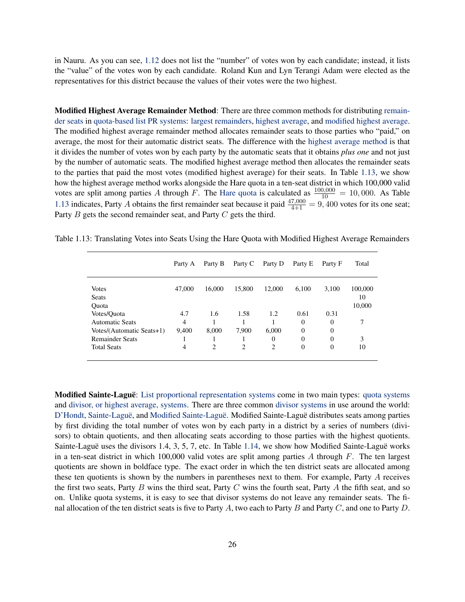in Nauru. As you can see, [1.12](#page-26-3) does not list the "number" of votes won by each candidate; instead, it lists the "value" of the votes won by each candidate. Roland Kun and Lyn Terangi Adam were elected as the representatives for this district because the values of their votes were the two highest.

<span id="page-27-1"></span>Modified Highest Average Remainder Method: There are three common methods for distributing [remain](#page-31-2)[der seats](#page-31-2) in [quota-based list PR systems:](#page-30-1) [largest remainders,](#page-22-0) [highest average,](#page-0-0) and [modified highest average.](#page-27-1) The modified highest average remainder method allocates remainder seats to those parties who "paid," on average, the most for their automatic district seats. The difference with the [highest average method](#page-0-0) is that it divides the number of votes won by each party by the automatic seats that it obtains *plus one* and not just by the number of automatic seats. The modified highest average method then allocates the remainder seats to the parties that paid the most votes (modified highest average) for their seats. In Table [1.13,](#page-27-2) we show how the highest average method works alongside the Hare quota in a ten-seat district in which 100,000 valid votes are split among parties A through F. The [Hare quota](#page-21-0) is calculated as  $\frac{100,000}{10} = 10,000$ . As Table [1.13](#page-27-2) indicates, Party A obtains the first remainder seat because it paid  $\frac{47,000}{4+1} = 9,400$  votes for its one seat; Party B gets the second remainder seat, and Party C gets the third.

<span id="page-27-2"></span>

|                           | Party A | Party B | Party C        | Party D        | Party E  | Party F  | Total   |
|---------------------------|---------|---------|----------------|----------------|----------|----------|---------|
| <b>Votes</b>              | 47,000  | 16,000  | 15,800         | 12,000         | 6,100    | 3,100    | 100,000 |
| <b>Seats</b>              |         |         |                |                |          |          | 10      |
| <b>Ouota</b>              |         |         |                |                |          |          | 10,000  |
| Votes/Quota               | 4.7     | 1.6     | 1.58           | 1.2            | 0.61     | 0.31     |         |
| <b>Automatic Seats</b>    | 4       |         |                |                | $\Omega$ | $\Omega$ | 7       |
| Votes/(Automatic Seats+1) | 9,400   | 8,000   | 7,900          | 6,000          | $\theta$ | $\Omega$ |         |
| <b>Remainder Seats</b>    |         |         |                | $\Omega$       | $\theta$ | $\Omega$ | 3       |
| <b>Total Seats</b>        | 4       | 2       | $\overline{c}$ | $\overline{c}$ | $\theta$ | $\Omega$ | 10      |

Table 1.13: Translating Votes into Seats Using the Hare Quota with Modified Highest Average Remainders

<span id="page-27-0"></span>Modified Sainte-Laguë: [List proportional representation systems](#page-24-1) come in two main types: [quota systems](#page-30-1) and [divisor, or highest average, systems.](#page-17-2) There are three common [divisor systems](#page-17-2) in use around the world: [D'Hondt,](#page-17-0) [Sainte-Laguë,](#page-31-1) and [Modified Sainte-Laguë.](#page-27-0) Modified Sainte-Laguë distributes seats among parties by first dividing the total number of votes won by each party in a district by a series of numbers (divisors) to obtain quotients, and then allocating seats according to those parties with the highest quotients. Sainte-Laguë uses the divisors 1.4, 3, 5, 7, etc. In Table [1.14,](#page-28-3) we show how Modified Sainte-Laguë works in a ten-seat district in which 100,000 valid votes are split among parties A through  $F$ . The ten largest quotients are shown in boldface type. The exact order in which the ten district seats are allocated among these ten quotients is shown by the numbers in parentheses next to them. For example, Party A receives the first two seats, Party B wins the third seat, Party C wins the fourth seat, Party A the fifth seat, and so on. Unlike quota systems, it is easy to see that divisor systems do not leave any remainder seats. The final allocation of the ten district seats is five to Party A, two each to Party B and Party C, and one to Party D.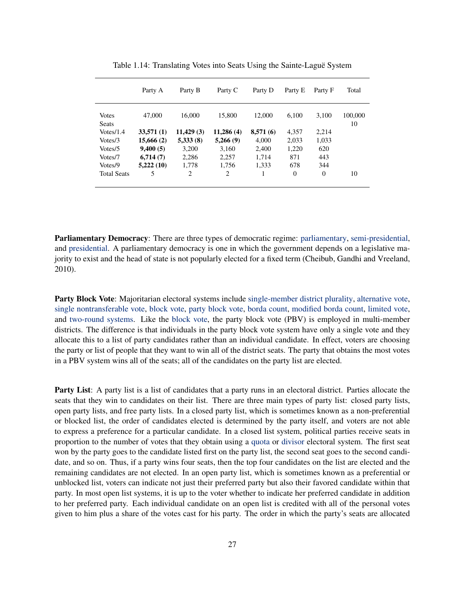|                       | Party A   | Party B   | Party C    | Party D  | Party E  | Party F        | Total         |
|-----------------------|-----------|-----------|------------|----------|----------|----------------|---------------|
| <b>Votes</b><br>Seats | 47,000    | 16,000    | 15,800     | 12,000   | 6.100    | 3,100          | 100,000<br>10 |
| Votes/1.4             | 33,571(1) | 11,429(3) | 11,286 (4) | 8,571(6) | 4,357    | 2,214          |               |
| Votes/3               | 15,666(2) | 5,333(8)  | 5,266(9)   | 4,000    | 2,033    | 1,033          |               |
| Votes/5               | 9,400(5)  | 3,200     | 3,160      | 2,400    | 1,220    | 620            |               |
| Votes/7               | 6,714(7)  | 2,286     | 2,257      | 1,714    | 871      | 443            |               |
| Votes/9               | 5,222(10) | 1,778     | 1.756      | 1.333    | 678      | 344            |               |
| <b>Total Seats</b>    | 5         | 2         | 2          |          | $\Omega$ | $\overline{0}$ | 10            |

<span id="page-28-3"></span>Table 1.14: Translating Votes into Seats Using the Sainte-Laguë System

<span id="page-28-0"></span>Parliamentary Democracy: There are three types of democratic regime: [parliamentary,](#page-28-0) [semi-presidential,](#page-32-0) and [presidential.](#page-29-0) A parliamentary democracy is one in which the government depends on a legislative majority to exist and the head of state is not popularly elected for a fixed term [\(Cheibub, Gandhi and Vreeland,](#page-36-0) [2010\)](#page-36-0).

<span id="page-28-1"></span>Party Block Vote: Majoritarian electoral systems include [single-member district plurality,](#page-32-1) [alternative vote,](#page-12-1) [single nontransferable vote,](#page-32-2) [block vote,](#page-14-2) [party block vote,](#page-28-1) [borda count,](#page-14-1) [modified borda count,](#page-26-2) [limited vote,](#page-24-0) and [two-round systems.](#page-34-1) Like the [block vote,](#page-14-2) the party block vote (PBV) is employed in multi-member districts. The difference is that individuals in the party block vote system have only a single vote and they allocate this to a list of party candidates rather than an individual candidate. In effect, voters are choosing the party or list of people that they want to win all of the district seats. The party that obtains the most votes in a PBV system wins all of the seats; all of the candidates on the party list are elected.

<span id="page-28-2"></span>Party List: A party list is a list of candidates that a party runs in an electoral district. Parties allocate the seats that they win to candidates on their list. There are three main types of party list: closed party lists, open party lists, and free party lists. In a closed party list, which is sometimes known as a non-preferential or blocked list, the order of candidates elected is determined by the party itself, and voters are not able to express a preference for a particular candidate. In a closed list system, political parties receive seats in proportion to the number of votes that they obtain using a [quota](#page-30-1) or [divisor](#page-17-2) electoral system. The first seat won by the party goes to the candidate listed first on the party list, the second seat goes to the second candidate, and so on. Thus, if a party wins four seats, then the top four candidates on the list are elected and the remaining candidates are not elected. In an open party list, which is sometimes known as a preferential or unblocked list, voters can indicate not just their preferred party but also their favored candidate within that party. In most open list systems, it is up to the voter whether to indicate her preferred candidate in addition to her preferred party. Each individual candidate on an open list is credited with all of the personal votes given to him plus a share of the votes cast for his party. The order in which the party's seats are allocated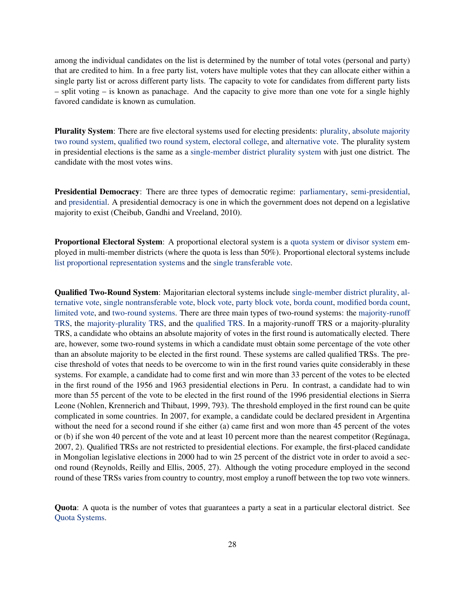among the individual candidates on the list is determined by the number of total votes (personal and party) that are credited to him. In a free party list, voters have multiple votes that they can allocate either within a single party list or across different party lists. The capacity to vote for candidates from different party lists – split voting – is known as panachage. And the capacity to give more than one vote for a single highly favored candidate is known as cumulation.

<span id="page-29-3"></span>Plurality System: There are five electoral systems used for electing presidents: [plurality,](#page-29-3) [absolute majority](#page-12-2) [two round system,](#page-12-2) [qualified two round system,](#page-29-2) [electoral college,](#page-20-2) and [alternative vote.](#page-12-1) The plurality system in presidential elections is the same as a [single-member district plurality system](#page-32-1) with just one district. The candidate with the most votes wins.

<span id="page-29-0"></span>Presidential Democracy: There are three types of democratic regime: [parliamentary,](#page-28-0) [semi-presidential,](#page-32-0) and [presidential.](#page-29-0) A presidential democracy is one in which the government does not depend on a legislative majority to exist [\(Cheibub, Gandhi and Vreeland,](#page-36-0) [2010\)](#page-36-0).

<span id="page-29-1"></span>Proportional Electoral System: A proportional electoral system is a [quota system](#page-30-1) or [divisor system](#page-17-2) employed in multi-member districts (where the quota is less than 50%). Proportional electoral systems include [list proportional representation systems](#page-24-1) and the [single transferable vote.](#page-33-0)

<span id="page-29-2"></span>Qualified Two-Round System: Majoritarian electoral systems include [single-member district plurality,](#page-32-1) [al](#page-12-1)[ternative vote,](#page-12-1) [single nontransferable vote,](#page-32-2) [block vote,](#page-14-2) [party block vote,](#page-28-1) [borda count,](#page-14-1) [modified borda count,](#page-26-2) [limited vote,](#page-24-0) and [two-round systems.](#page-34-1) There are three main types of two-round systems: the [majority-runoff](#page-25-2) [TRS,](#page-25-2) the [majority-plurality TRS,](#page-25-1) and the [qualified TRS.](#page-29-2) In a majority-runoff TRS or a majority-plurality TRS, a candidate who obtains an absolute majority of votes in the first round is automatically elected. There are, however, some two-round systems in which a candidate must obtain some percentage of the vote other than an absolute majority to be elected in the first round. These systems are called qualified TRSs. The precise threshold of votes that needs to be overcome to win in the first round varies quite considerably in these systems. For example, a candidate had to come first and win more than 33 percent of the votes to be elected in the first round of the 1956 and 1963 presidential elections in Peru. In contrast, a candidate had to win more than 55 percent of the vote to be elected in the first round of the 1996 presidential elections in Sierra Leone [\(Nohlen, Krennerich and Thibaut,](#page-36-8) [1999,](#page-36-8) 793). The threshold employed in the first round can be quite complicated in some countries. In 2007, for example, a candidate could be declared president in Argentina without the need for a second round if she either (a) came first and won more than 45 percent of the votes or (b) if she won 40 percent of the vote and at least 10 percent more than the nearest competitor [\(Regúnaga,](#page-37-5) [2007,](#page-37-5) 2). Qualified TRSs are not restricted to presidential elections. For example, the first-placed candidate in Mongolian legislative elections in 2000 had to win 25 percent of the district vote in order to avoid a second round [\(Reynolds, Reilly and Ellis,](#page-37-6) [2005,](#page-37-6) 27). Although the voting procedure employed in the second round of these TRSs varies from country to country, most employ a runoff between the top two vote winners.

Quota: A quota is the number of votes that guarantees a party a seat in a particular electoral district. See [Quota Systems.](#page-30-1)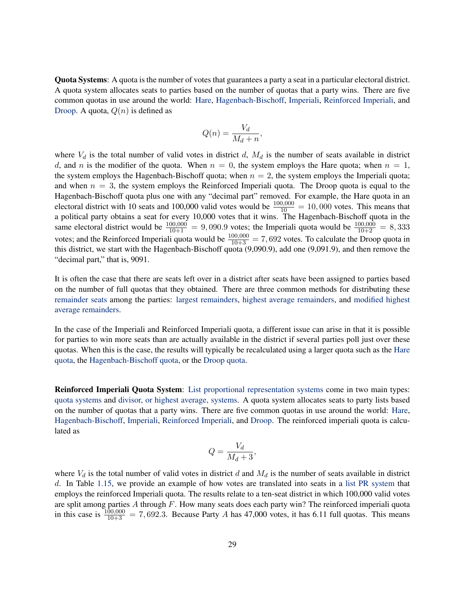<span id="page-30-1"></span>Quota Systems: A quota is the number of votes that guarantees a party a seat in a particular electoral district. A quota system allocates seats to parties based on the number of quotas that a party wins. There are five common quotas in use around the world: [Hare,](#page-21-0) [Hagenbach-Bischoff,](#page-20-0) [Imperiali,](#page-22-1) [Reinforced Imperiali,](#page-30-0) and [Droop.](#page-18-0) A quota,  $Q(n)$  is defined as

$$
Q(n) = \frac{V_d}{M_d + n},
$$

where  $V_d$  is the total number of valid votes in district d,  $M_d$  is the number of seats available in district d, and n is the modifier of the quota. When  $n = 0$ , the system employs the Hare quota; when  $n = 1$ , the system employs the Hagenbach-Bischoff quota; when  $n = 2$ , the system employs the Imperiali quota; and when  $n = 3$ , the system employs the Reinforced Imperiali quota. The Droop quota is equal to the Hagenbach-Bischoff quota plus one with any "decimal part" removed. For example, the Hare quota in an electoral district with 10 seats and 100,000 valid votes would be  $\frac{100,000}{10} = 10,000$  votes. This means that a political party obtains a seat for every 10,000 votes that it wins. The Hagenbach-Bischoff quota in the same electoral district would be  $\frac{100,000}{10+1} = 9,090.9$  votes; the Imperiali quota would be  $\frac{100,000}{10+2} = 8,333$ votes; and the Reinforced Imperiali quota would be  $\frac{100,000}{10+3} = 7,692$  votes. To calculate the Droop quota in this district, we start with the Hagenbach-Bischoff quota (9,090.9), add one (9,091.9), and then remove the "decimal part," that is, 9091.

It is often the case that there are seats left over in a district after seats have been assigned to parties based on the number of full quotas that they obtained. There are three common methods for distributing these [remainder seats](#page-31-2) among the parties: [largest remainders,](#page-22-0) [highest average remainders,](#page-0-0) and [modified highest](#page-27-1) [average remainders.](#page-27-1)

In the case of the Imperiali and Reinforced Imperiali quota, a different issue can arise in that it is possible for parties to win more seats than are actually available in the district if several parties poll just over these quotas. When this is the case, the results will typically be recalculated using a larger quota such as the [Hare](#page-21-0) [quota,](#page-21-0) the [Hagenbach-Bischoff quota,](#page-20-0) or the [Droop quota.](#page-18-0)

<span id="page-30-0"></span>Reinforced Imperiali Quota System: [List proportional representation systems](#page-24-1) come in two main types: [quota systems](#page-30-1) and [divisor, or highest average, systems.](#page-17-2) A quota system allocates seats to party lists based on the number of quotas that a party wins. There are five common quotas in use around the world: [Hare,](#page-21-0) [Hagenbach-Bischoff,](#page-20-0) [Imperiali,](#page-22-1) [Reinforced Imperiali,](#page-30-0) and [Droop.](#page-18-0) The reinforced imperiali quota is calculated as

$$
Q = \frac{V_d}{M_d + 3}
$$

,

where  $V_d$  is the total number of valid votes in district d and  $M_d$  is the number of seats available in district d. In Table [1.15,](#page-31-3) we provide an example of how votes are translated into seats in a [list PR system](#page-24-1) that employs the reinforced Imperiali quota. The results relate to a ten-seat district in which 100,000 valid votes are split among parties  $A$  through  $F$ . How many seats does each party win? The reinforced imperiali quota in this case is  $\frac{100,000}{10+3}$  = 7, 692.3. Because Party A has 47,000 votes, it has 6.11 full quotas. This means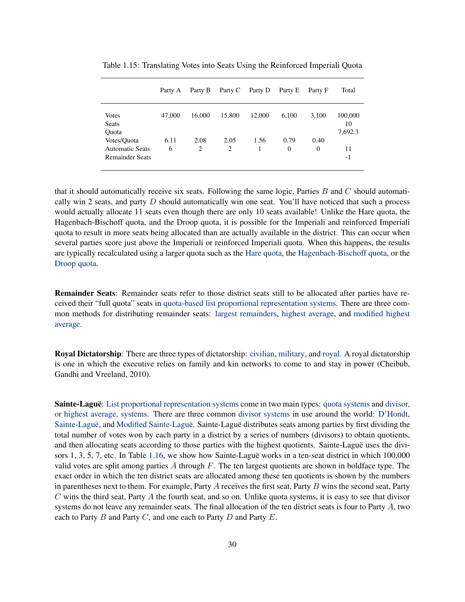|                                                                 | Party A   | Party B                | Party C   | Party D | Party E          | Party F          | Total                    |
|-----------------------------------------------------------------|-----------|------------------------|-----------|---------|------------------|------------------|--------------------------|
| <b>Votes</b><br>Seats<br>Ouota                                  | 47,000    | 16,000                 | 15,800    | 12,000  | 6,100            | 3,100            | 100,000<br>10<br>7,692.3 |
| Votes/Quota<br><b>Automatic Seats</b><br><b>Remainder Seats</b> | 6.11<br>6 | 2.08<br>$\overline{c}$ | 2.05<br>2 | 1.56    | 0.79<br>$\Omega$ | 0.40<br>$\Omega$ | 11<br>-1                 |

<span id="page-31-3"></span>Table 1.15: Translating Votes into Seats Using the Reinforced Imperiali Quota

that it should automatically receive six seats. Following the same logic, Parties  $B$  and  $C$  should automatically win 2 seats, and party  $D$  should automatically win one seat. You'll have noticed that such a process would actually allocate 11 seats even though there are only 10 seats available! Unlike the Hare quota, the Hagenbach-Bischoff quota, and the Droop quota, it is possible for the Imperiali and reinforced Imperiali quota to result in more seats being allocated than are actually available in the district. This can occur when several parties score just above the Imperiali or reinforced Imperiali quota. When this happens, the results are typically recalculated using a larger quota such as the [Hare quota,](#page-21-0) the [Hagenbach-Bischoff quota,](#page-20-0) or the [Droop quota.](#page-18-0)

<span id="page-31-2"></span>Remainder Seats: Remainder seats refer to those district seats still to be allocated after parties have received their "full quota" seats in [quota-based list proportional representation systems.](#page-30-1) There are three common methods for distributing remainder seats: [largest remainders,](#page-22-0) [highest average,](#page-0-0) and [modified highest](#page-27-1) [average.](#page-27-1)

<span id="page-31-0"></span>Royal Dictatorship: There are three types of dictatorship: [civilian,](#page-14-0) [military,](#page-26-0) and [royal.](#page-31-0) A royal dictatorship is one in which the executive relies on family and kin networks to come to and stay in power [\(Cheibub,](#page-36-0) [Gandhi and Vreeland,](#page-36-0) [2010\)](#page-36-0).

<span id="page-31-1"></span>Sainte-Laguë: [List proportional representation systems](#page-24-1) come in two main types: [quota systems](#page-30-1) and [divisor,](#page-17-2) [or highest average, systems.](#page-17-2) There are three common [divisor systems](#page-17-2) in use around the world: [D'Hondt,](#page-17-0) [Sainte-Laguë,](#page-31-1) and [Modified Sainte-Laguë.](#page-27-0) Sainte-Laguë distributes seats among parties by first dividing the total number of votes won by each party in a district by a series of numbers (divisors) to obtain quotients, and then allocating seats according to those parties with the highest quotients. Sainte-Laguë uses the divisors 1, 3, 5, 7, etc. In Table [1.16,](#page-32-3) we show how Sainte-Laguë works in a ten-seat district in which 100,000 valid votes are split among parties  $A$  through  $F$ . The ten largest quotients are shown in boldface type. The exact order in which the ten district seats are allocated among these ten quotients is shown by the numbers in parentheses next to them. For example, Party  $A$  receives the first seat, Party  $B$  wins the second seat, Party  $C$  wins the third seat, Party  $A$  the fourth seat, and so on. Unlike quota systems, it is easy to see that divisor systems do not leave any remainder seats. The final allocation of the ten district seats is four to Party A, two each to Party  $B$  and Party  $C$ , and one each to Party  $D$  and Party  $E$ .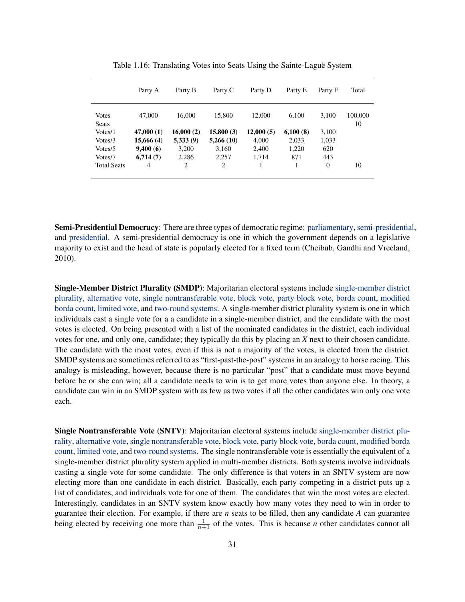|                              | Party A    | Party B   | Party C   | Party D   | Party E  | Party F        | Total         |
|------------------------------|------------|-----------|-----------|-----------|----------|----------------|---------------|
| <b>Votes</b><br><b>Seats</b> | 47,000     | 16,000    | 15,800    | 12,000    | 6.100    | 3,100          | 100,000<br>10 |
| Votes/1                      | 47,000(1)  | 16,000(2) | 15,800(3) | 12,000(5) | 6,100(8) | 3,100          |               |
| Votes/3                      | 15,666 (4) | 5,333(9)  | 5,266(10) | 4.000     | 2,033    | 1,033          |               |
| Votes/5                      | 9,400(6)   | 3.200     | 3.160     | 2.400     | 1,220    | 620            |               |
| Votes/7                      | 6,714(7)   | 2,286     | 2,257     | 1,714     | 871      | 443            |               |
| <b>Total Seats</b>           | 4          | 2         | 2         |           |          | $\overline{0}$ | 10            |

<span id="page-32-3"></span>Table 1.16: Translating Votes into Seats Using the Sainte-Laguë System

<span id="page-32-0"></span>Semi-Presidential Democracy: There are three types of democratic regime: [parliamentary,](#page-28-0) [semi-presidential,](#page-32-0) and [presidential.](#page-29-0) A semi-presidential democracy is one in which the government depends on a legislative majority to exist and the head of state is popularly elected for a fixed term [\(Cheibub, Gandhi and Vreeland,](#page-36-0) [2010\)](#page-36-0).

<span id="page-32-1"></span>Single-Member District Plurality (SMDP): Majoritarian electoral systems include [single-member district](#page-32-1) [plurality,](#page-32-1) [alternative vote,](#page-12-1) [single nontransferable vote,](#page-32-2) [block vote,](#page-14-2) [party block vote,](#page-28-1) [borda count,](#page-14-1) [modified](#page-26-2) [borda count,](#page-26-2) [limited vote,](#page-24-0) and [two-round systems.](#page-34-1) A single-member district plurality system is one in which individuals cast a single vote for a a candidate in a single-member district, and the candidate with the most votes is elected. On being presented with a list of the nominated candidates in the district, each individual votes for one, and only one, candidate; they typically do this by placing an *X* next to their chosen candidate. The candidate with the most votes, even if this is not a majority of the votes, is elected from the district. SMDP systems are sometimes referred to as "first-past-the-post" systems in an analogy to horse racing. This analogy is misleading, however, because there is no particular "post" that a candidate must move beyond before he or she can win; all a candidate needs to win is to get more votes than anyone else. In theory, a candidate can win in an SMDP system with as few as two votes if all the other candidates win only one vote each.

<span id="page-32-2"></span>Single Nontransferable Vote (SNTV): Majoritarian electoral systems include [single-member district plu](#page-32-1)[rality,](#page-32-1) [alternative vote,](#page-12-1) [single nontransferable vote,](#page-32-2) [block vote,](#page-14-2) [party block vote,](#page-28-1) [borda count,](#page-14-1) [modified borda](#page-26-2) [count,](#page-26-2) [limited vote,](#page-24-0) and [two-round systems.](#page-34-1) The single nontransferable vote is essentially the equivalent of a single-member district plurality system applied in multi-member districts. Both systems involve individuals casting a single vote for some candidate. The only difference is that voters in an SNTV system are now electing more than one candidate in each district. Basically, each party competing in a district puts up a list of candidates, and individuals vote for one of them. The candidates that win the most votes are elected. Interestingly, candidates in an SNTV system know exactly how many votes they need to win in order to guarantee their election. For example, if there are *n* seats to be filled, then any candidate *A* can guarantee being elected by receiving one more than  $\frac{1}{n+1}$  of the votes. This is because *n* other candidates cannot all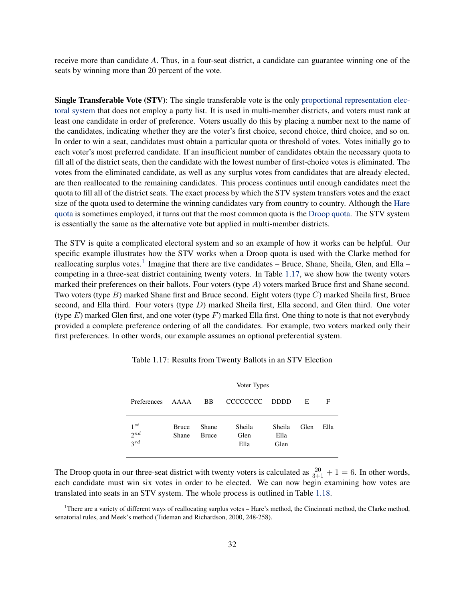receive more than candidate *A*. Thus, in a four-seat district, a candidate can guarantee winning one of the seats by winning more than 20 percent of the vote.

<span id="page-33-0"></span>Single Transferable Vote (STV): The single transferable vote is the only [proportional representation elec](#page-29-1)[toral system](#page-29-1) that does not employ a party list. It is used in multi-member districts, and voters must rank at least one candidate in order of preference. Voters usually do this by placing a number next to the name of the candidates, indicating whether they are the voter's first choice, second choice, third choice, and so on. In order to win a seat, candidates must obtain a particular quota or threshold of votes. Votes initially go to each voter's most preferred candidate. If an insufficient number of candidates obtain the necessary quota to fill all of the district seats, then the candidate with the lowest number of first-choice votes is eliminated. The votes from the eliminated candidate, as well as any surplus votes from candidates that are already elected, are then reallocated to the remaining candidates. This process continues until enough candidates meet the quota to fill all of the district seats. The exact process by which the STV system transfers votes and the exact size of the quota used to determine the winning candidates vary from country to country. Although the [Hare](#page-21-0) [quota](#page-21-0) is sometimes employed, it turns out that the most common quota is the [Droop quota.](#page-18-0) The STV system is essentially the same as the alternative vote but applied in multi-member districts.

The STV is quite a complicated electoral system and so an example of how it works can be helpful. Our specific example illustrates how the STV works when a Droop quota is used with the Clarke method for reallocating surplus votes.<sup>[1](#page-33-1)</sup> Imagine that there are five candidates – Bruce, Shane, Sheila, Glen, and Ella – competing in a three-seat district containing twenty voters. In Table [1.17,](#page-33-2) we show how the twenty voters marked their preferences on their ballots. Four voters (type A) voters marked Bruce first and Shane second. Two voters (type B) marked Shane first and Bruce second. Eight voters (type C) marked Sheila first, Bruce second, and Ella third. Four voters (type  $D$ ) marked Sheila first, Ella second, and Glen third. One voter (type  $E$ ) marked Glen first, and one voter (type  $F$ ) marked Ella first. One thing to note is that not everybody provided a complete preference ordering of all the candidates. For example, two voters marked only their first preferences. In other words, our example assumes an optional preferential system.

|                                  | Voter Types           |                       |                        |                        |      |      |  |
|----------------------------------|-----------------------|-----------------------|------------------------|------------------------|------|------|--|
| Preferences                      | AAAA                  | <b>BB</b>             | CCCCCCCC DDDD          |                        | E    | F    |  |
| $1^{st}$<br>$2^{nd}$<br>$3^{rd}$ | <b>Bruce</b><br>Shane | Shane<br><b>Bruce</b> | Sheila<br>Glen<br>Ella | Sheila<br>Ella<br>Glen | Glen | Ella |  |

<span id="page-33-2"></span>Table 1.17: Results from Twenty Ballots in an STV Election

The Droop quota in our three-seat district with twenty voters is calculated as  $\frac{20}{3+1} + 1 = 6$ . In other words, each candidate must win six votes in order to be elected. We can now begin examining how votes are translated into seats in an STV system. The whole process is outlined in Table [1.18.](#page-34-0)

<span id="page-33-1"></span><sup>&</sup>lt;sup>1</sup>There are a variety of different ways of reallocating surplus votes – Hare's method, the Cincinnati method, the Clarke method, senatorial rules, and Meek's method [\(Tideman and Richardson,](#page-37-7) [2000,](#page-37-7) 248-258).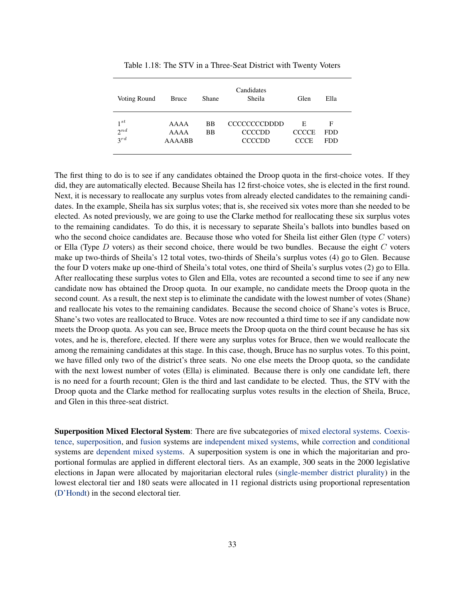| Voting Round                     | Bruce                  | Shane                  | Candidates<br>Sheila                                  | Glen                             | Ella                          |  |
|----------------------------------|------------------------|------------------------|-------------------------------------------------------|----------------------------------|-------------------------------|--|
| $1^{st}$<br>$2^{nd}$<br>$3^{rd}$ | AAAA<br>AAAA<br>AAAABB | <b>BB</b><br><b>BB</b> | <b>CCCCCCCCDDDD</b><br><b>CCCCDD</b><br><b>CCCCDD</b> | Е<br><b>CCCCE</b><br><b>CCCE</b> | F<br><b>FDD</b><br><b>FDD</b> |  |

<span id="page-34-0"></span>Table 1.18: The STV in a Three-Seat District with Twenty Voters

The first thing to do is to see if any candidates obtained the Droop quota in the first-choice votes. If they did, they are automatically elected. Because Sheila has 12 first-choice votes, she is elected in the first round. Next, it is necessary to reallocate any surplus votes from already elected candidates to the remaining candidates. In the example, Sheila has six surplus votes; that is, she received six votes more than she needed to be elected. As noted previously, we are going to use the Clarke method for reallocating these six surplus votes to the remaining candidates. To do this, it is necessary to separate Sheila's ballots into bundles based on who the second choice candidates are. Because those who voted for Sheila list either Glen (type  $C$  voters) or Ella (Type  $D$  voters) as their second choice, there would be two bundles. Because the eight  $C$  voters make up two-thirds of Sheila's 12 total votes, two-thirds of Sheila's surplus votes (4) go to Glen. Because the four D voters make up one-third of Sheila's total votes, one third of Sheila's surplus votes (2) go to Ella. After reallocating these surplus votes to Glen and Ella, votes are recounted a second time to see if any new candidate now has obtained the Droop quota. In our example, no candidate meets the Droop quota in the second count. As a result, the next step is to eliminate the candidate with the lowest number of votes (Shane) and reallocate his votes to the remaining candidates. Because the second choice of Shane's votes is Bruce, Shane's two votes are reallocated to Bruce. Votes are now recounted a third time to see if any candidate now meets the Droop quota. As you can see, Bruce meets the Droop quota on the third count because he has six votes, and he is, therefore, elected. If there were any surplus votes for Bruce, then we would reallocate the among the remaining candidates at this stage. In this case, though, Bruce has no surplus votes. To this point, we have filled only two of the district's three seats. No one else meets the Droop quota, so the candidate with the next lowest number of votes (Ella) is eliminated. Because there is only one candidate left, there is no need for a fourth recount; Glen is the third and last candidate to be elected. Thus, the STV with the Droop quota and the Clarke method for reallocating surplus votes results in the election of Sheila, Bruce, and Glen in this three-seat district.

<span id="page-34-2"></span><span id="page-34-1"></span>Superposition Mixed Electoral System: There are five subcategories of [mixed electoral systems.](#page-26-1) [Coexis](#page-14-3)[tence,](#page-14-3) [superposition,](#page-34-2) and [fusion](#page-20-1) systems are [independent mixed systems,](#page-23-0) while [correction](#page-15-1) and [conditional](#page-14-4) systems are [dependent mixed systems.](#page-15-0) A superposition system is one in which the majoritarian and proportional formulas are applied in different electoral tiers. As an example, 300 seats in the 2000 legislative elections in Japan were allocated by majoritarian electoral rules [\(single-member district plurality\)](#page-32-1) in the lowest electoral tier and 180 seats were allocated in 11 regional districts using proportional representation [\(D'Hondt\)](#page-17-0) in the second electoral tier.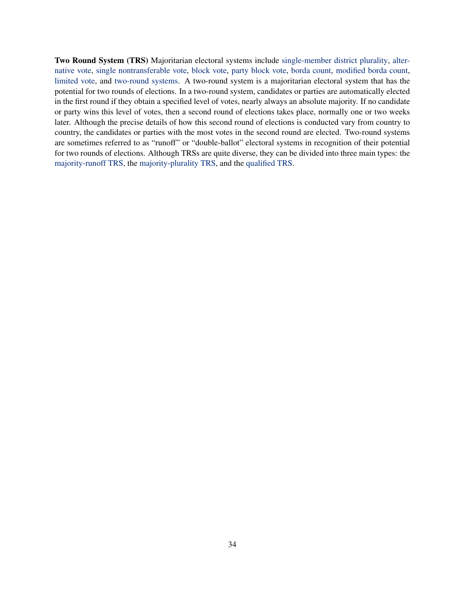Two Round System (TRS) Majoritarian electoral systems include [single-member district plurality,](#page-32-1) [alter](#page-12-1)[native vote,](#page-12-1) [single nontransferable vote,](#page-32-2) [block vote,](#page-14-2) [party block vote,](#page-28-1) [borda count,](#page-14-1) [modified borda count,](#page-26-2) [limited vote,](#page-24-0) and [two-round systems.](#page-34-1) A two-round system is a majoritarian electoral system that has the potential for two rounds of elections. In a two-round system, candidates or parties are automatically elected in the first round if they obtain a specified level of votes, nearly always an absolute majority. If no candidate or party wins this level of votes, then a second round of elections takes place, normally one or two weeks later. Although the precise details of how this second round of elections is conducted vary from country to country, the candidates or parties with the most votes in the second round are elected. Two-round systems are sometimes referred to as "runoff" or "double-ballot" electoral systems in recognition of their potential for two rounds of elections. Although TRSs are quite diverse, they can be divided into three main types: the [majority-runoff TRS,](#page-25-2) the [majority-plurality TRS,](#page-25-1) and the [qualified TRS.](#page-29-2)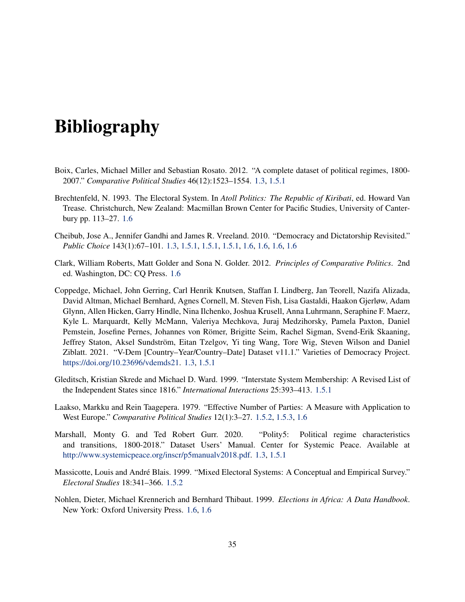# Bibliography

- <span id="page-36-1"></span>Boix, Carles, Michael Miller and Sebastian Rosato. 2012. "A complete dataset of political regimes, 1800- 2007." *Comparative Political Studies* 46(12):1523–1554. [1.3,](#page-3-0) [1.5.1](#page-4-1)
- <span id="page-36-9"></span>Brechtenfeld, N. 1993. The Electoral System. In *Atoll Politics: The Republic of Kiribati*, ed. Howard Van Trease. Christchurch, New Zealand: Macmillan Brown Center for Pacific Studies, University of Canterbury pp. 113–27. [1.6](#page-24-2)
- <span id="page-36-0"></span>Cheibub, Jose A., Jennifer Gandhi and James R. Vreeland. 2010. "Democracy and Dictatorship Revisited." *Public Choice* 143(1):67–101. [1.3,](#page-3-0) [1.5.1,](#page-4-1) [1.5.1,](#page-6-0) [1.5.1,](#page-6-1) [1.6,](#page-13-0) [1.6,](#page-24-2) [1.6,](#page-28-3) [1.6](#page-31-3)
- <span id="page-36-7"></span>Clark, William Roberts, Matt Golder and Sona N. Golder. 2012. *Principles of Comparative Politics*. 2nd ed. Washington, DC: CQ Press. [1.6](#page-12-0)
- <span id="page-36-3"></span>Coppedge, Michael, John Gerring, Carl Henrik Knutsen, Staffan I. Lindberg, Jan Teorell, Nazifa Alizada, David Altman, Michael Bernhard, Agnes Cornell, M. Steven Fish, Lisa Gastaldi, Haakon Gjerløw, Adam Glynn, Allen Hicken, Garry Hindle, Nina Ilchenko, Joshua Krusell, Anna Luhrmann, Seraphine F. Maerz, Kyle L. Marquardt, Kelly McMann, Valeriya Mechkova, Juraj Medzihorsky, Pamela Paxton, Daniel Pemstein, Josefine Pernes, Johannes von Römer, Brigitte Seim, Rachel Sigman, Svend-Erik Skaaning, Jeffrey Staton, Aksel Sundström, Eitan Tzelgov, Yi ting Wang, Tore Wig, Steven Wilson and Daniel Ziblatt. 2021. "V-Dem [Country–Year/Country–Date] Dataset v11.1." Varieties of Democracy Project. [https://doi.org/10.23696/vdemds21.](https://doi.org/10.23696/vdemds21) [1.3,](#page-3-0) [1.5.1](#page-4-1)
- <span id="page-36-4"></span>Gleditsch, Kristian Skrede and Michael D. Ward. 1999. "Interstate System Membership: A Revised List of the Independent States since 1816." *International Interactions* 25:393–413. [1.5.1](#page-4-1)
- <span id="page-36-6"></span>Laakso, Markku and Rein Taagepera. 1979. "Effective Number of Parties: A Measure with Application to West Europe." *Comparative Political Studies* 12(1):3–27. [1.5.2,](#page-10-0) [1.5.3,](#page-12-3) [1.6](#page-18-3)
- <span id="page-36-2"></span>Marshall, Monty G. and Ted Robert Gurr. 2020. "Polity5: Political regime characteristics and transitions, 1800-2018." Dataset Users' Manual. Center for Systemic Peace. Available at [http://www.systemicpeace.org/inscr/p5manualv2018.pdf.](http://www.systemicpeace.org/inscr/p5manualv2018.pdf) [1.3,](#page-3-0) [1.5.1](#page-4-1)
- <span id="page-36-5"></span>Massicotte, Louis and André Blais. 1999. "Mixed Electoral Systems: A Conceptual and Empirical Survey." *Electoral Studies* 18:341–366. [1.5.2](#page-10-1)
- <span id="page-36-8"></span>Nohlen, Dieter, Michael Krennerich and Bernhard Thibaut. 1999. *Elections in Africa: A Data Handbook*. New York: Oxford University Press. [1.6,](#page-13-0) [1.6](#page-28-3)